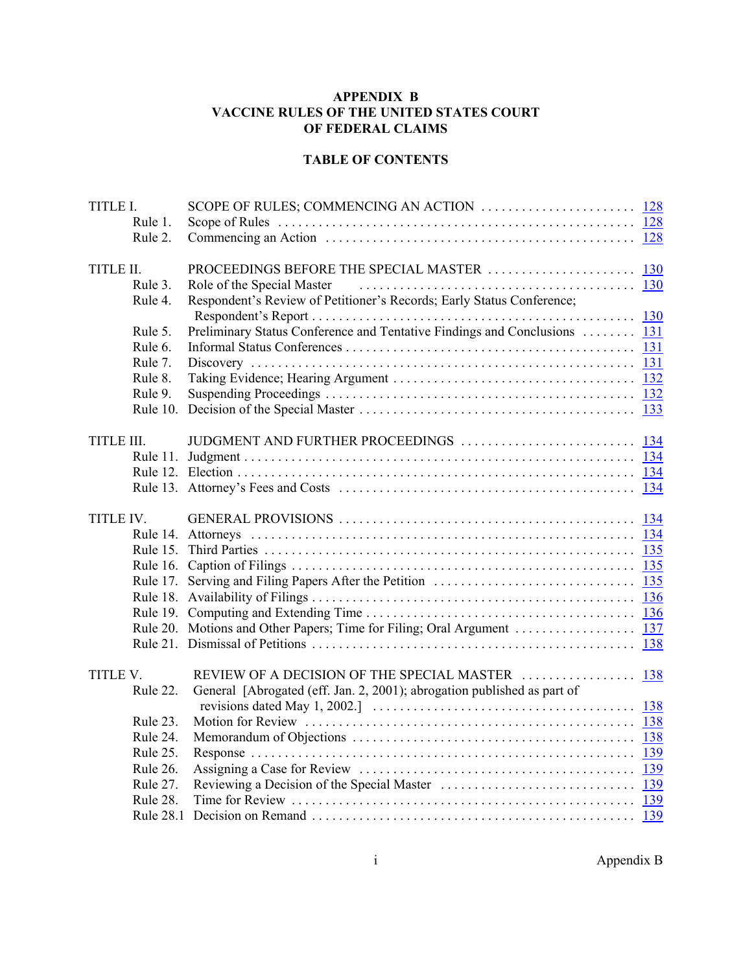# **APPENDIX B VACCINE RULES OF THE UNITED STATES COURT OF FEDERAL CLAIMS**

## **TABLE OF CONTENTS**

| TITLE I.   |           |                                                                           |  |
|------------|-----------|---------------------------------------------------------------------------|--|
|            | Rule 1.   |                                                                           |  |
|            | Rule 2.   |                                                                           |  |
|            |           |                                                                           |  |
| TITLE II.  |           |                                                                           |  |
|            | Rule 3.   | Role of the Special Master                                                |  |
|            | Rule 4.   | Respondent's Review of Petitioner's Records; Early Status Conference;     |  |
|            |           |                                                                           |  |
|            | Rule 5.   | Preliminary Status Conference and Tentative Findings and Conclusions  131 |  |
|            | Rule 6.   |                                                                           |  |
|            | Rule 7.   |                                                                           |  |
|            | Rule 8.   |                                                                           |  |
|            | Rule 9.   |                                                                           |  |
|            |           |                                                                           |  |
|            |           |                                                                           |  |
| TITLE III. |           |                                                                           |  |
|            |           |                                                                           |  |
|            |           |                                                                           |  |
|            |           |                                                                           |  |
|            |           |                                                                           |  |
| TITLE IV.  |           |                                                                           |  |
|            |           |                                                                           |  |
|            |           |                                                                           |  |
|            |           |                                                                           |  |
|            |           |                                                                           |  |
|            |           |                                                                           |  |
|            |           |                                                                           |  |
|            |           |                                                                           |  |
|            |           |                                                                           |  |
|            |           |                                                                           |  |
| TITLE V.   |           |                                                                           |  |
|            | Rule 22.  | General [Abrogated (eff. Jan. 2, 2001); abrogation published as part of   |  |
|            |           |                                                                           |  |
|            | Rule 23.  |                                                                           |  |
|            | Rule 24.  |                                                                           |  |
|            | Rule 25.  |                                                                           |  |
|            | Rule 26.  |                                                                           |  |
|            | Rule 27.  |                                                                           |  |
|            | Rule 28.  |                                                                           |  |
|            | Rule 28.1 |                                                                           |  |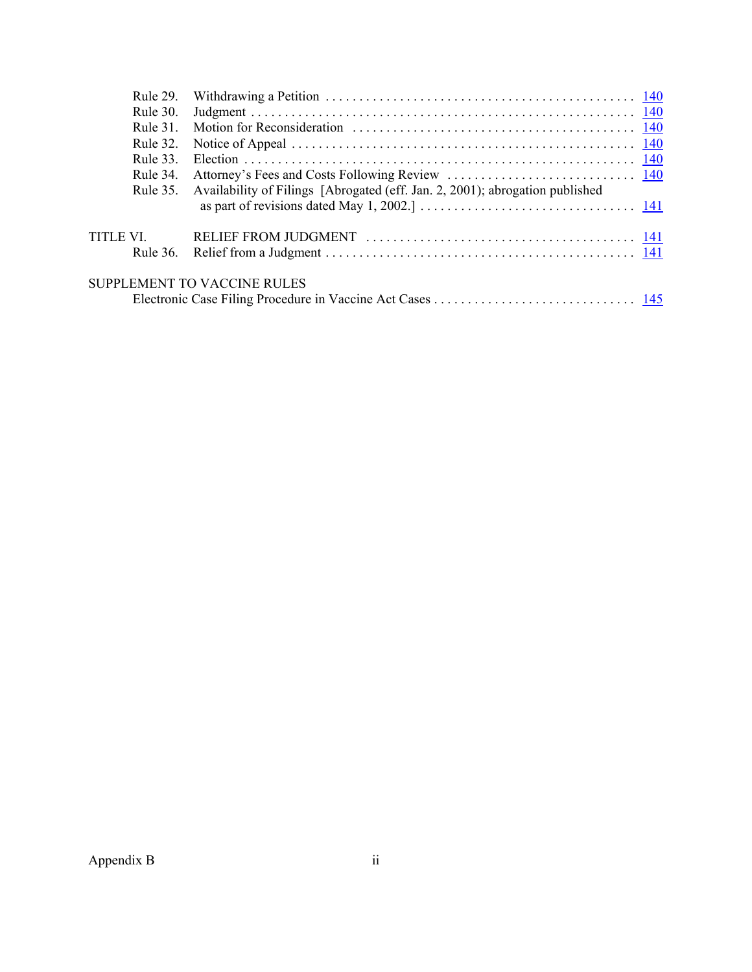|                                    | Rule 30. |                                                                              |  |  |  |  |
|------------------------------------|----------|------------------------------------------------------------------------------|--|--|--|--|
|                                    | Rule 31  |                                                                              |  |  |  |  |
|                                    | Rule 32. |                                                                              |  |  |  |  |
|                                    | Rule 33  |                                                                              |  |  |  |  |
|                                    | Rule 34. |                                                                              |  |  |  |  |
|                                    | Rule 35. | Availability of Filings [Abrogated (eff. Jan. 2, 2001); abrogation published |  |  |  |  |
|                                    |          |                                                                              |  |  |  |  |
| TITLE VI.                          |          |                                                                              |  |  |  |  |
|                                    |          |                                                                              |  |  |  |  |
| <b>SUPPLEMENT TO VACCINE RULES</b> |          |                                                                              |  |  |  |  |
|                                    |          |                                                                              |  |  |  |  |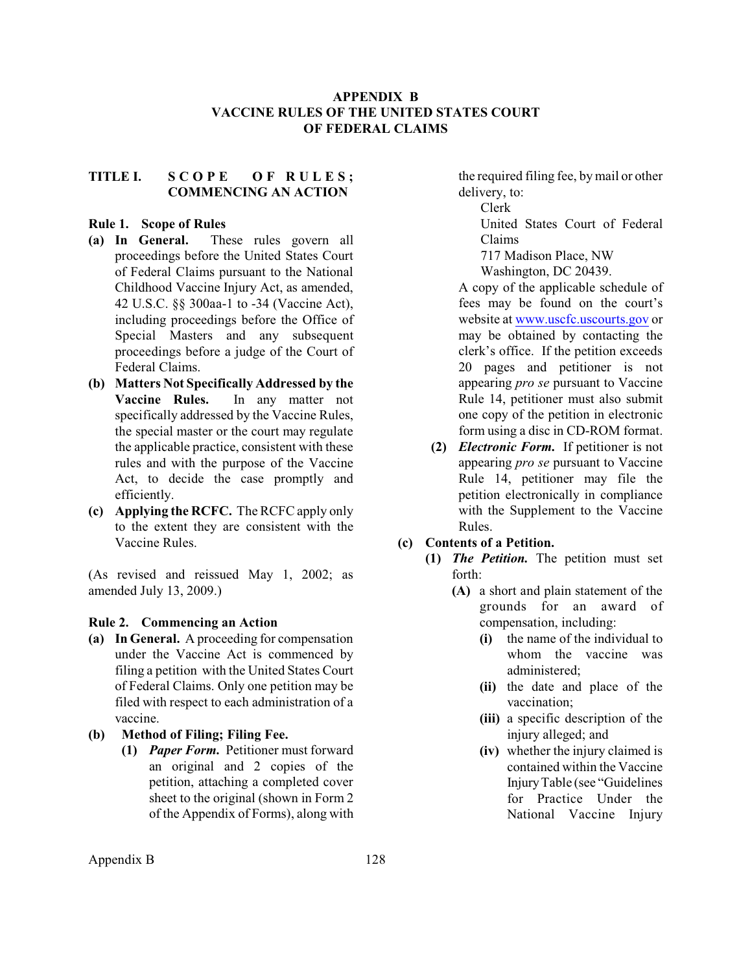## **APPENDIX B VACCINE RULES OF THE UNITED STATES COURT OF FEDERAL CLAIMS**

# <span id="page-2-0"></span>**TITLE I. S C O P E O F R U L E S ; COMMENCING AN ACTION**

### **Rule 1. Scope of Rules**

- **(a) In General.** These rules govern all proceedings before the United States Court of Federal Claims pursuant to the National Childhood Vaccine Injury Act, as amended, 42 U.S.C. §§ 300aa-1 to -34 (Vaccine Act), including proceedings before the Office of Special Masters and any subsequent proceedings before a judge of the Court of Federal Claims.
- **(b) Matters Not Specifically Addressed by the Vaccine Rules.** In any matter not specifically addressed by the Vaccine Rules, the special master or the court may regulate the applicable practice, consistent with these rules and with the purpose of the Vaccine Act, to decide the case promptly and efficiently.
- **(c) Applying the RCFC.** The RCFC apply only to the extent they are consistent with the Vaccine Rules.

(As revised and reissued May 1, 2002; as amended July 13, 2009.)

#### **Rule 2. Commencing an Action**

- **(a) In General.** A proceeding for compensation under the Vaccine Act is commenced by filing a petition with the United States Court of Federal Claims. Only one petition may be filed with respect to each administration of a vaccine.
- **(b) Method of Filing; Filing Fee.**
	- **(1)** *Paper Form.* Petitioner must forward an original and 2 copies of the petition, attaching a completed cover sheet to the original (shown in Form 2 of the Appendix of Forms), along with

the required filing fee, by mail or other delivery, to:

Clerk

United States Court of Federal Claims

717 Madison Place, NW

Washington, DC 20439.

A copy of the applicable schedule of fees may be found on the court's website at [www.uscfc.uscourts.gov](http://www.uscfc.uscourts.gov) or may be obtained by contacting the clerk's office. If the petition exceeds 20 pages and petitioner is not appearing *pro se* pursuant to Vaccine Rule 14, petitioner must also submit one copy of the petition in electronic form using a disc in CD-ROM format.

**(2)** *Electronic Form.* If petitioner is not appearing *pro se* pursuant to Vaccine Rule 14, petitioner may file the petition electronically in compliance with the Supplement to the Vaccine Rules.

## **(c) Contents of a Petition.**

- **(1)** *The Petition.* The petition must set forth:
	- **(A)** a short and plain statement of the grounds for an award of compensation, including:
		- **(i)** the name of the individual to whom the vaccine was administered;
		- **(ii)** the date and place of the vaccination;
		- **(iii)** a specific description of the injury alleged; and
		- **(iv)** whether the injury claimed is contained within the Vaccine InjuryTable (see "Guidelines for Practice Under the National Vaccine Injury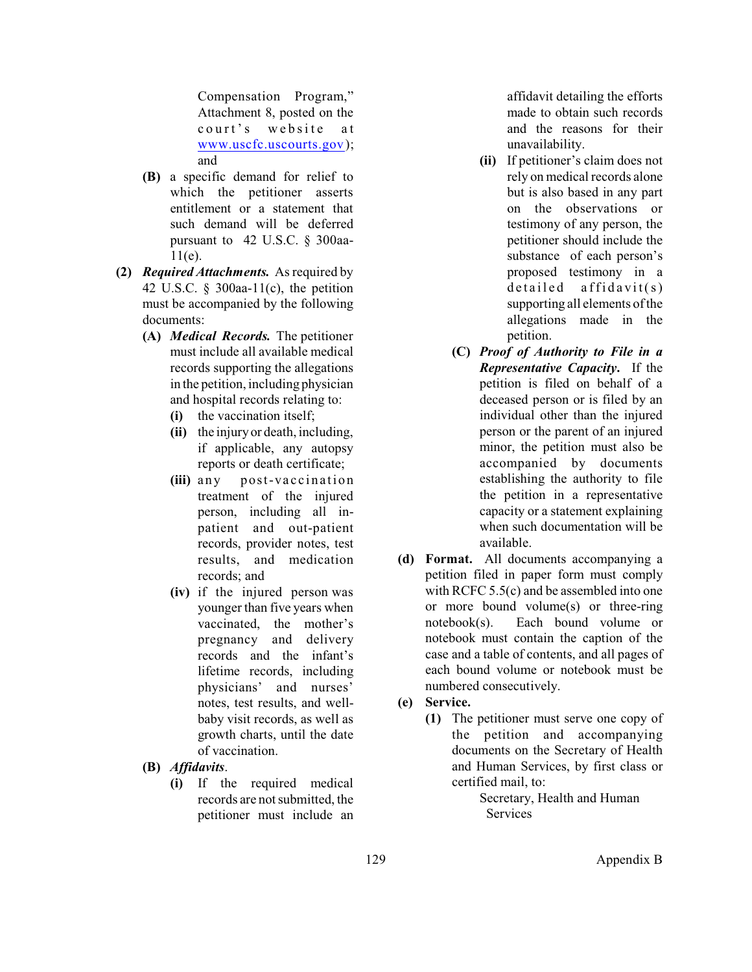Compensation Program," Attachment 8, posted on the court's website at [www.uscfc.uscourts.gov](http://www.uscfc.uscourts.gov)); and

- **(B)** a specific demand for relief to which the petitioner asserts entitlement or a statement that such demand will be deferred pursuant to 42 U.S.C. § 300aa-11(e).
- **(2)** *Required Attachments.* As required by 42 U.S.C.  $\S$  300aa-11(c), the petition must be accompanied by the following documents:
	- **(A)** *Medical Records.* The petitioner must include all available medical records supporting the allegations in the petition, including physician and hospital records relating to:
		- **(i)** the vaccination itself;
		- **(ii)** the injury or death, including, if applicable, any autopsy reports or death certificate;
		- **(iii)** any post-vaccination treatment of the injured person, including all inpatient and out-patient records, provider notes, test results, and medication records; and
		- **(iv)** if the injured person was younger than five years when vaccinated, the mother's pregnancy and delivery records and the infant's lifetime records, including physicians' and nurses' notes, test results, and wellbaby visit records, as well as growth charts, until the date of vaccination.
	- **(B)** *Affidavits*.
		- **(i)** If the required medical records are not submitted, the petitioner must include an

affidavit detailing the efforts made to obtain such records and the reasons for their unavailability.

- **(ii)** If petitioner's claim does not rely on medical records alone but is also based in any part on the observations or testimony of any person, the petitioner should include the substance of each person's proposed testimony in a  $deta$  affidavit(s) supporting all elements of the allegations made in the petition.
- **(C)** *Proof of Authority to File in a Representative Capacity***.** If the petition is filed on behalf of a deceased person or is filed by an individual other than the injured person or the parent of an injured minor, the petition must also be accompanied by documents establishing the authority to file the petition in a representative capacity or a statement explaining when such documentation will be available.
- **(d) Format.** All documents accompanying a petition filed in paper form must comply with RCFC 5.5(c) and be assembled into one or more bound volume(s) or three-ring notebook(s). Each bound volume or notebook must contain the caption of the case and a table of contents, and all pages of each bound volume or notebook must be numbered consecutively.
- **(e) Service.**
	- **(1)** The petitioner must serve one copy of the petition and accompanying documents on the Secretary of Health and Human Services, by first class or certified mail, to:

Secretary, Health and Human **Services**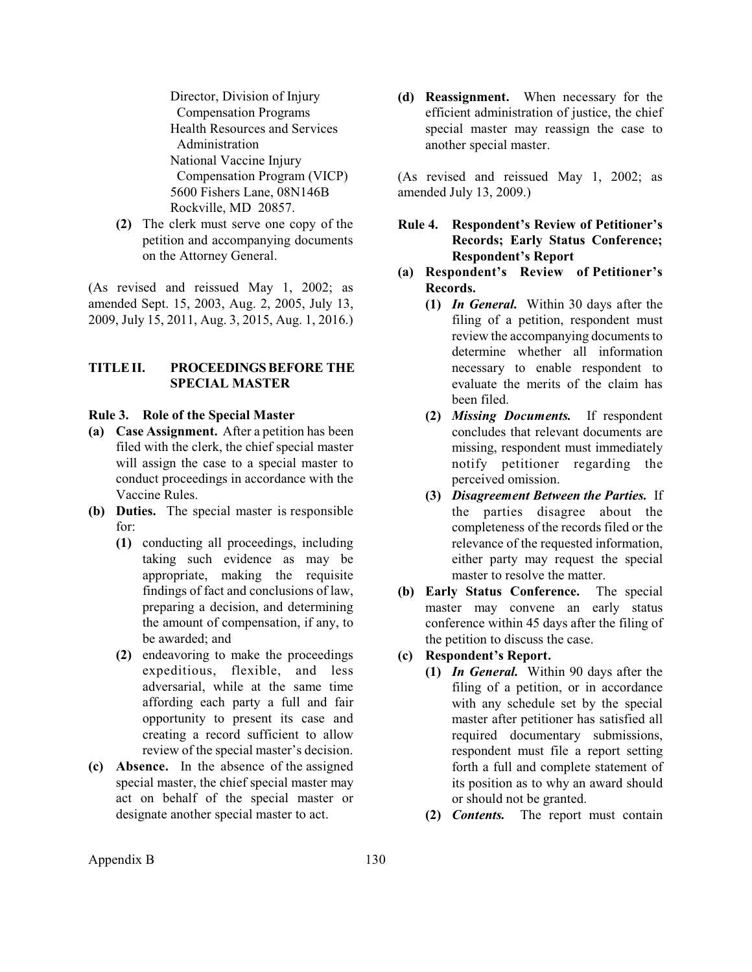<span id="page-4-0"></span>Director, Division of Injury Compensation Programs Health Resources and Services Administration National Vaccine Injury Compensation Program (VICP) 5600 Fishers Lane, 08N146B Rockville, MD 20857.

**(2)** The clerk must serve one copy of the petition and accompanying documents on the Attorney General.

(As revised and reissued May 1, 2002; as amended Sept. 15, 2003, Aug. 2, 2005, July 13, 2009, July 15, 2011, Aug. 3, 2015, Aug. 1, 2016.)

## **TITLE II. PROCEEDINGSBEFORE THE SPECIAL MASTER**

### **Rule 3. Role of the Special Master**

- **(a) Case Assignment.** After a petition has been filed with the clerk, the chief special master will assign the case to a special master to conduct proceedings in accordance with the Vaccine Rules.
- **(b) Duties.** The special master is responsible for:
	- **(1)** conducting all proceedings, including taking such evidence as may be appropriate, making the requisite findings of fact and conclusions of law, preparing a decision, and determining the amount of compensation, if any, to be awarded; and
	- **(2)** endeavoring to make the proceedings expeditious, flexible, and less adversarial, while at the same time affording each party a full and fair opportunity to present its case and creating a record sufficient to allow review of the special master's decision.
- **(c) Absence.** In the absence of the assigned special master, the chief special master may act on behalf of the special master or designate another special master to act.

**(d) Reassignment.** When necessary for the efficient administration of justice, the chief special master may reassign the case to another special master.

(As revised and reissued May 1, 2002; as amended July 13, 2009.)

- **Rule 4. Respondent's Review of Petitioner's Records; Early Status Conference; Respondent's Report**
- **(a) Respondent's Review of Petitioner's Records.**
	- **(1)** *In General.* Within 30 days after the filing of a petition, respondent must review the accompanying documents to determine whether all information necessary to enable respondent to evaluate the merits of the claim has been filed.
	- **(2)** *Missing Documents.* If respondent concludes that relevant documents are missing, respondent must immediately notify petitioner regarding the perceived omission.
	- **(3)** *Disagreement Between the Parties.* If the parties disagree about the completeness of the records filed or the relevance of the requested information, either party may request the special master to resolve the matter.
- **(b) Early Status Conference.** The special master may convene an early status conference within 45 days after the filing of the petition to discuss the case.

# **(c) Respondent's Report.**

- **(1)** *In General.* Within 90 days after the filing of a petition, or in accordance with any schedule set by the special master after petitioner has satisfied all required documentary submissions, respondent must file a report setting forth a full and complete statement of its position as to why an award should or should not be granted.
- **(2)** *Contents.* The report must contain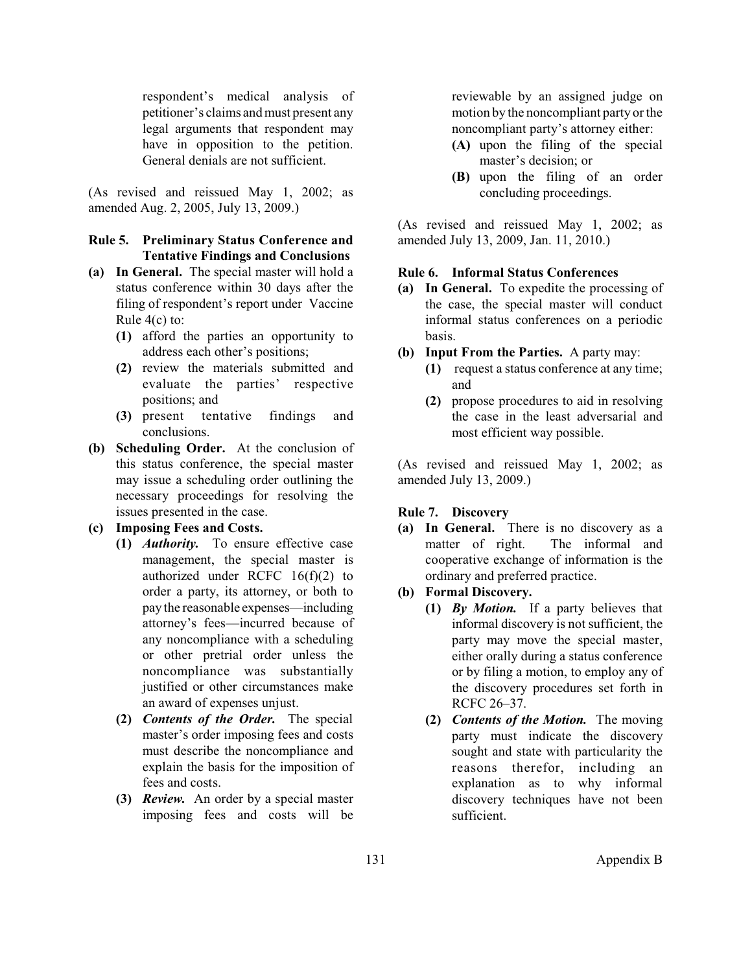<span id="page-5-0"></span>respondent's medical analysis of petitioner's claims and must present any legal arguments that respondent may have in opposition to the petition. General denials are not sufficient.

(As revised and reissued May 1, 2002; as amended Aug. 2, 2005, July 13, 2009.)

## **Rule 5. Preliminary Status Conference and Tentative Findings and Conclusions**

- **(a) In General.** The special master will hold a status conference within 30 days after the filing of respondent's report under Vaccine Rule 4(c) to:
	- **(1)** afford the parties an opportunity to address each other's positions;
	- **(2)** review the materials submitted and evaluate the parties' respective positions; and
	- **(3)** present tentative findings and conclusions.
- **(b) Scheduling Order.** At the conclusion of this status conference, the special master may issue a scheduling order outlining the necessary proceedings for resolving the issues presented in the case.
- **(c) Imposing Fees and Costs.**
	- **(1)** *Authority.* To ensure effective case management, the special master is authorized under RCFC  $16(f)(2)$  to order a party, its attorney, or both to pay the reasonable expenses—including attorney's fees—incurred because of any noncompliance with a scheduling or other pretrial order unless the noncompliance was substantially justified or other circumstances make an award of expenses unjust.
	- **(2)** *Contents of the Order.* The special master's order imposing fees and costs must describe the noncompliance and explain the basis for the imposition of fees and costs.
	- **(3)** *Review.* An order by a special master imposing fees and costs will be

reviewable by an assigned judge on motion by the noncompliant party or the noncompliant party's attorney either:

- **(A)** upon the filing of the special master's decision; or
- **(B)** upon the filing of an order concluding proceedings.

(As revised and reissued May 1, 2002; as amended July 13, 2009, Jan. 11, 2010.)

## **Rule 6. Informal Status Conferences**

- **(a) In General.** To expedite the processing of the case, the special master will conduct informal status conferences on a periodic basis.
- **(b) Input From the Parties.** A party may:
	- **(1)** request a status conference at any time; and
	- **(2)** propose procedures to aid in resolving the case in the least adversarial and most efficient way possible.

(As revised and reissued May 1, 2002; as amended July 13, 2009.)

## **Rule 7. Discovery**

- **(a) In General.** There is no discovery as a matter of right. The informal and cooperative exchange of information is the ordinary and preferred practice.
- **(b) Formal Discovery.**
	- **(1)** *By Motion.* If a party believes that informal discovery is not sufficient, the party may move the special master, either orally during a status conference or by filing a motion, to employ any of the discovery procedures set forth in RCFC 26–37.
	- **(2)** *Contents of the Motion.* The moving party must indicate the discovery sought and state with particularity the reasons therefor, including an explanation as to why informal discovery techniques have not been sufficient.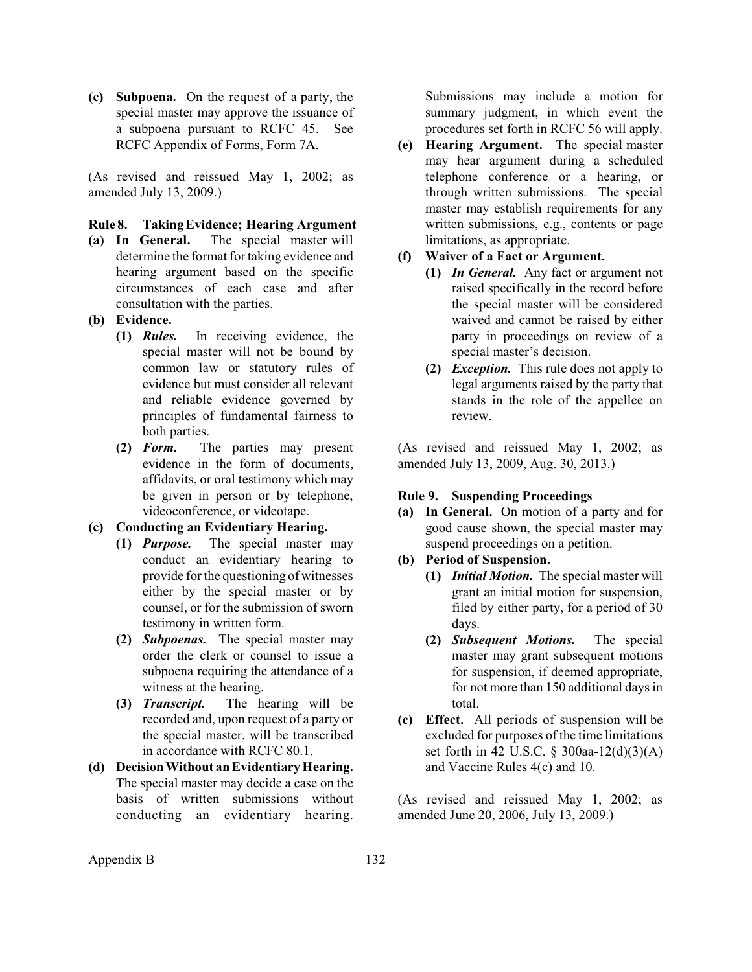<span id="page-6-0"></span>**(c) Subpoena.** On the request of a party, the special master may approve the issuance of a subpoena pursuant to RCFC 45. See RCFC Appendix of Forms, Form 7A.

(As revised and reissued May 1, 2002; as amended July 13, 2009.)

## **Rule 8. Taking Evidence; Hearing Argument**

- **(a) In General.** The special master will determine the format for taking evidence and hearing argument based on the specific circumstances of each case and after consultation with the parties.
- **(b) Evidence.** 
	- **(1)** *Rules.* In receiving evidence, the special master will not be bound by common law or statutory rules of evidence but must consider all relevant and reliable evidence governed by principles of fundamental fairness to both parties.
	- **(2)** *Form.* The parties may present evidence in the form of documents, affidavits, or oral testimony which may be given in person or by telephone, videoconference, or videotape.
- **(c) Conducting an Evidentiary Hearing.**
	- **(1)** *Purpose.* The special master may conduct an evidentiary hearing to provide forthe questioning of witnesses either by the special master or by counsel, or for the submission of sworn testimony in written form.
	- **(2)** *Subpoenas.* The special master may order the clerk or counsel to issue a subpoena requiring the attendance of a witness at the hearing.
	- **(3)** *Transcript.* The hearing will be recorded and, upon request of a party or the special master, will be transcribed in accordance with RCFC 80.1.
- **(d) DecisionWithout an Evidentiary Hearing.**  The special master may decide a case on the basis of written submissions without conducting an evidentiary hearing.

Submissions may include a motion for summary judgment, in which event the procedures set forth in RCFC 56 will apply.

**(e) Hearing Argument.** The special master may hear argument during a scheduled telephone conference or a hearing, or through written submissions. The special master may establish requirements for any written submissions, e.g., contents or page limitations, as appropriate.

## **(f) Waiver of a Fact or Argument.**

- **(1)** *In General.* Any fact or argument not raised specifically in the record before the special master will be considered waived and cannot be raised by either party in proceedings on review of a special master's decision.
- **(2)** *Exception.* This rule does not apply to legal arguments raised by the party that stands in the role of the appellee on review.

(As revised and reissued May 1, 2002; as amended July 13, 2009, Aug. 30, 2013.)

#### **Rule 9. Suspending Proceedings**

**(a) In General.** On motion of a party and for good cause shown, the special master may suspend proceedings on a petition.

# **(b) Period of Suspension.**

- **(1)** *Initial Motion.* The special master will grant an initial motion for suspension, filed by either party, for a period of 30 days.
- **(2)** *Subsequent Motions.* The special master may grant subsequent motions for suspension, if deemed appropriate, for not more than 150 additional days in total.
- **(c) Effect.** All periods of suspension will be excluded for purposes of the time limitations set forth in 42 U.S.C. § 300aa-12(d)(3)(A) and Vaccine Rules 4(c) and 10.

(As revised and reissued May 1, 2002; as amended June 20, 2006, July 13, 2009.)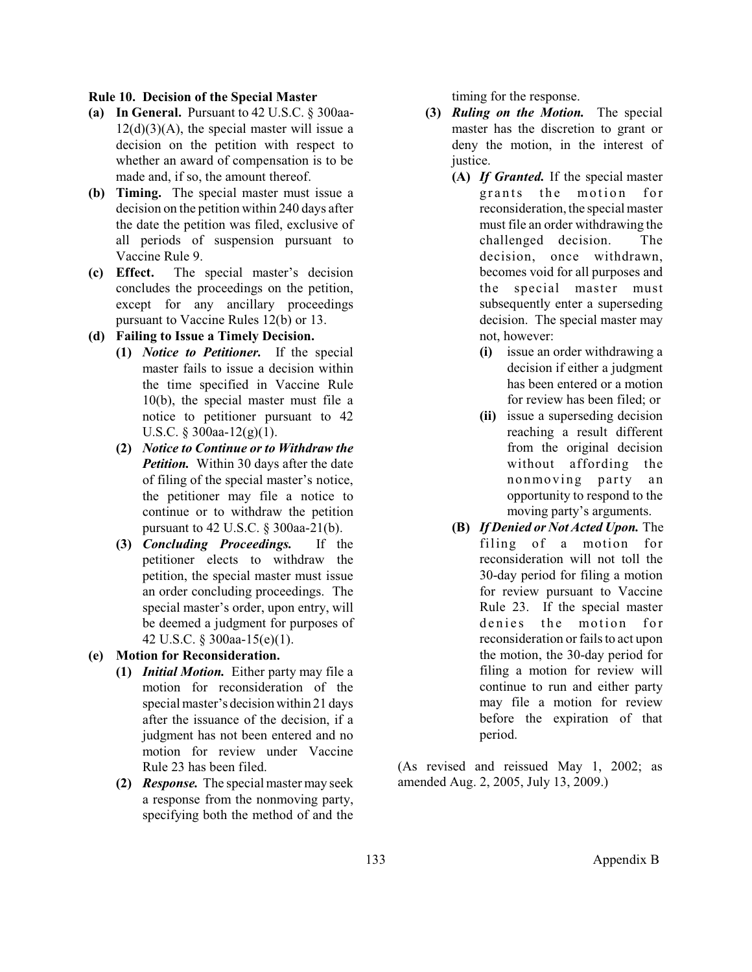#### <span id="page-7-0"></span>**Rule 10. Decision of the Special Master**

- **(a) In General.** Pursuant to 42 U.S.C. § 300aa- $12(d)(3)(A)$ , the special master will issue a decision on the petition with respect to whether an award of compensation is to be made and, if so, the amount thereof.
- **(b) Timing.** The special master must issue a decision on the petition within 240 days after the date the petition was filed, exclusive of all periods of suspension pursuant to Vaccine Rule 9.
- **(c) Effect.** The special master's decision concludes the proceedings on the petition, except for any ancillary proceedings pursuant to Vaccine Rules 12(b) or 13.

#### **(d) Failing to Issue a Timely Decision.**

- **(1)** *Notice to Petitioner.* If the special master fails to issue a decision within the time specified in Vaccine Rule 10(b), the special master must file a notice to petitioner pursuant to 42 U.S.C. § 300aa-12(g)(1).
- **(2)** *Notice to Continue or to Withdraw the Petition.* Within 30 days after the date of filing of the special master's notice, the petitioner may file a notice to continue or to withdraw the petition pursuant to 42 U.S.C. § 300aa-21(b).
- **(3)** *Concluding Proceedings.* If the petitioner elects to withdraw the petition, the special master must issue an order concluding proceedings. The special master's order, upon entry, will be deemed a judgment for purposes of 42 U.S.C. § 300aa-15(e)(1).
- **(e) Motion for Reconsideration.**
	- **(1)** *Initial Motion.* Either party may file a motion for reconsideration of the special master's decision within 21 days after the issuance of the decision, if a judgment has not been entered and no motion for review under Vaccine Rule 23 has been filed.
	- **(2)** *Response.* The special master may seek a response from the nonmoving party, specifying both the method of and the

timing for the response.

- **(3)** *Ruling on the Motion.* The special master has the discretion to grant or deny the motion, in the interest of justice.
	- **(A)** *If Granted.* If the special master grants the motion for reconsideration, the special master must file an order withdrawing the challenged decision. The decision, once withdrawn, becomes void for all purposes and the special master must subsequently enter a superseding decision. The special master may not, however:
		- **(i)** issue an order withdrawing a decision if either a judgment has been entered or a motion for review has been filed; or
		- **(ii)** issue a superseding decision reaching a result different from the original decision without affording the nonmoving party an opportunity to respond to the moving party's arguments.
	- **(B)** *If Denied or Not Acted Upon.* The filing of a motion for reconsideration will not toll the 30-day period for filing a motion for review pursuant to Vaccine Rule 23. If the special master denies the motion for reconsideration or fails to act upon the motion, the 30-day period for filing a motion for review will continue to run and either party may file a motion for review before the expiration of that period.

(As revised and reissued May 1, 2002; as amended Aug. 2, 2005, July 13, 2009.)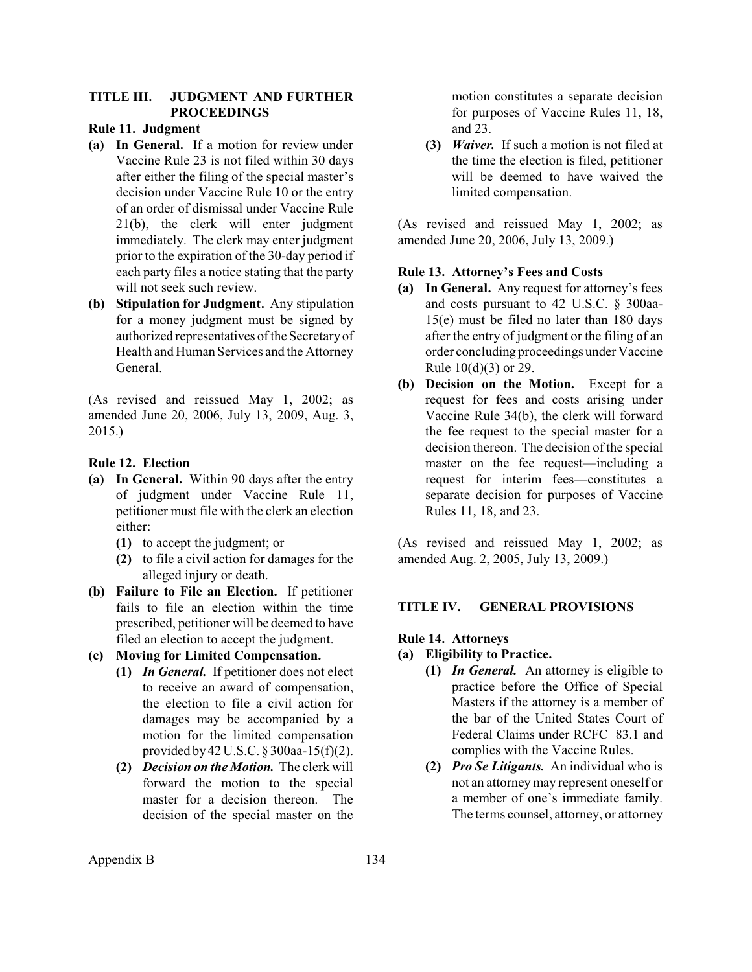## <span id="page-8-0"></span>**TITLE III. JUDGMENT AND FURTHER PROCEEDINGS**

### **Rule 11. Judgment**

- **(a) In General.** If a motion for review under Vaccine Rule 23 is not filed within 30 days after either the filing of the special master's decision under Vaccine Rule 10 or the entry of an order of dismissal under Vaccine Rule 21(b), the clerk will enter judgment immediately. The clerk may enter judgment prior to the expiration of the 30-day period if each party files a notice stating that the party will not seek such review.
- **(b) Stipulation for Judgment.** Any stipulation for a money judgment must be signed by authorized representatives ofthe Secretary of Health and Human Services and the Attorney General.

(As revised and reissued May 1, 2002; as amended June 20, 2006, July 13, 2009, Aug. 3, 2015.)

## **Rule 12. Election**

- **(a) In General.** Within 90 days after the entry of judgment under Vaccine Rule 11, petitioner must file with the clerk an election either:
	- **(1)** to accept the judgment; or
	- **(2)** to file a civil action for damages for the alleged injury or death.
- **(b) Failure to File an Election.** If petitioner fails to file an election within the time prescribed, petitioner will be deemed to have filed an election to accept the judgment.
- **(c) Moving for Limited Compensation.**
	- **(1)** *In General.* If petitioner does not elect to receive an award of compensation, the election to file a civil action for damages may be accompanied by a motion for the limited compensation provided by 42 U.S.C. § 300aa-15(f)(2).
	- **(2)** *Decision on the Motion.* The clerk will forward the motion to the special master for a decision thereon. The decision of the special master on the

motion constitutes a separate decision for purposes of Vaccine Rules 11, 18, and 23.

**(3)** *Waiver.* If such a motion is not filed at the time the election is filed, petitioner will be deemed to have waived the limited compensation.

(As revised and reissued May 1, 2002; as amended June 20, 2006, July 13, 2009.)

## **Rule 13. Attorney's Fees and Costs**

- **(a) In General.** Any request for attorney's fees and costs pursuant to 42 U.S.C. § 300aa-15(e) must be filed no later than 180 days after the entry of judgment or the filing of an order concluding proceedings under Vaccine Rule 10(d)(3) or 29.
- **(b) Decision on the Motion.** Except for a request for fees and costs arising under Vaccine Rule 34(b), the clerk will forward the fee request to the special master for a decision thereon. The decision of the special master on the fee request—including a request for interim fees—constitutes a separate decision for purposes of Vaccine Rules 11, 18, and 23.

(As revised and reissued May 1, 2002; as amended Aug. 2, 2005, July 13, 2009.)

## **TITLE IV. GENERAL PROVISIONS**

## **Rule 14. Attorneys**

- **(a) Eligibility to Practice.**
	- **(1)** *In General.* An attorney is eligible to practice before the Office of Special Masters if the attorney is a member of the bar of the United States Court of Federal Claims under RCFC 83.1 and complies with the Vaccine Rules.
	- **(2)** *Pro Se Litigants.* An individual who is not an attorney may represent oneself or a member of one's immediate family. The terms counsel, attorney, or attorney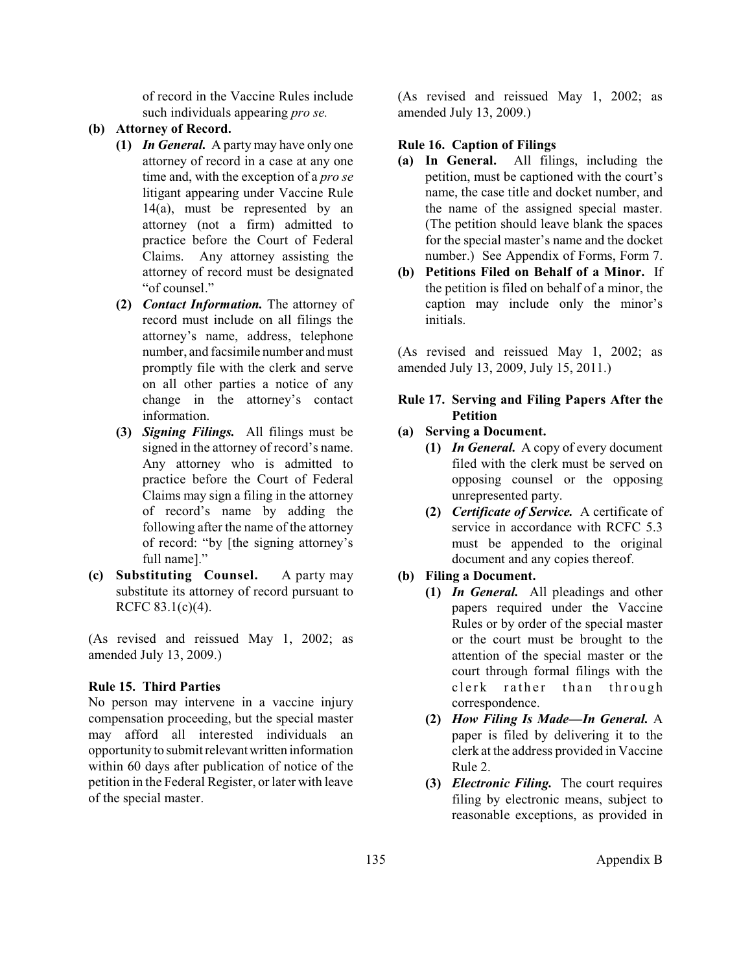of record in the Vaccine Rules include such individuals appearing *pro se.*

## <span id="page-9-0"></span>**(b) Attorney of Record.**

- **(1)** *In General.* A party may have only one attorney of record in a case at any one time and, with the exception of a *pro se* litigant appearing under Vaccine Rule 14(a), must be represented by an attorney (not a firm) admitted to practice before the Court of Federal Claims. Any attorney assisting the attorney of record must be designated "of counsel."
- **(2)** *Contact Information.* The attorney of record must include on all filings the attorney's name, address, telephone number, and facsimile number and must promptly file with the clerk and serve on all other parties a notice of any change in the attorney's contact information.
- **(3)** *Signing Filings.* All filings must be signed in the attorney of record's name. Any attorney who is admitted to practice before the Court of Federal Claims may sign a filing in the attorney of record's name by adding the following after the name of the attorney of record: "by [the signing attorney's full name]."
- **(c) Substituting Counsel.** A party may substitute its attorney of record pursuant to RCFC 83.1(c)(4).

(As revised and reissued May 1, 2002; as amended July 13, 2009.)

## **Rule 15. Third Parties**

No person may intervene in a vaccine injury compensation proceeding, but the special master may afford all interested individuals an opportunity to submitrelevantwritten information within 60 days after publication of notice of the petition in the Federal Register, or later with leave of the special master.

(As revised and reissued May 1, 2002; as amended July 13, 2009.)

### **Rule 16. Caption of Filings**

- **(a) In General.** All filings, including the petition, must be captioned with the court's name, the case title and docket number, and the name of the assigned special master. (The petition should leave blank the spaces for the special master's name and the docket number.) See Appendix of Forms, Form 7.
- **(b) Petitions Filed on Behalf of a Minor.** If the petition is filed on behalf of a minor, the caption may include only the minor's initials.

(As revised and reissued May 1, 2002; as amended July 13, 2009, July 15, 2011.)

## **Rule 17. Serving and Filing Papers After the Petition**

- **(a) Serving a Document.**
	- **(1)** *In General.* A copy of every document filed with the clerk must be served on opposing counsel or the opposing unrepresented party.
	- **(2)** *Certificate of Service.* A certificate of service in accordance with RCFC 5.3 must be appended to the original document and any copies thereof.
- **(b) Filing a Document.**
	- **(1)** *In General.* All pleadings and other papers required under the Vaccine Rules or by order of the special master or the court must be brought to the attention of the special master or the court through formal filings with the clerk rather than through correspondence.
	- **(2)** *How Filing Is Made—In General.* A paper is filed by delivering it to the clerk at the address provided in Vaccine Rule 2.
	- **(3)** *Electronic Filing.* The court requires filing by electronic means, subject to reasonable exceptions, as provided in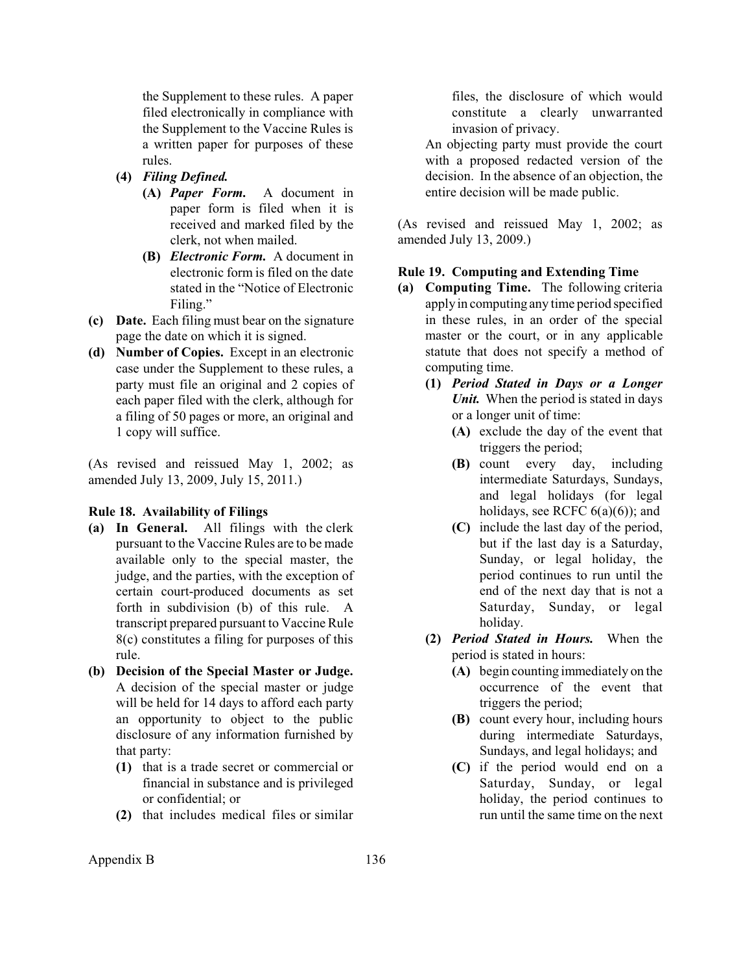<span id="page-10-0"></span>the Supplement to these rules. A paper filed electronically in compliance with the Supplement to the Vaccine Rules is a written paper for purposes of these rules.

- **(4)** *Filing Defined.*
	- **(A)** *Paper Form.* A document in paper form is filed when it is received and marked filed by the clerk, not when mailed.
	- **(B)** *Electronic Form.* A document in electronic form is filed on the date stated in the "Notice of Electronic Filing."
- **(c) Date.** Each filing must bear on the signature page the date on which it is signed.
- **(d) Number of Copies.** Except in an electronic case under the Supplement to these rules, a party must file an original and 2 copies of each paper filed with the clerk, although for a filing of 50 pages or more, an original and 1 copy will suffice.

(As revised and reissued May 1, 2002; as amended July 13, 2009, July 15, 2011.)

### **Rule 18. Availability of Filings**

- **(a) In General.** All filings with the clerk pursuant to the Vaccine Rules are to be made available only to the special master, the judge, and the parties, with the exception of certain court-produced documents as set forth in subdivision (b) of this rule. A transcript prepared pursuant to Vaccine Rule 8(c) constitutes a filing for purposes of this rule.
- **(b) Decision of the Special Master or Judge.** A decision of the special master or judge will be held for 14 days to afford each party an opportunity to object to the public disclosure of any information furnished by that party:
	- **(1)** that is a trade secret or commercial or financial in substance and is privileged or confidential; or
	- **(2)** that includes medical files or similar

files, the disclosure of which would constitute a clearly unwarranted invasion of privacy.

An objecting party must provide the court with a proposed redacted version of the decision. In the absence of an objection, the entire decision will be made public.

(As revised and reissued May 1, 2002; as amended July 13, 2009.)

### **Rule 19. Computing and Extending Time**

- **(a) Computing Time.** The following criteria apply in computing any time period specified in these rules, in an order of the special master or the court, or in any applicable statute that does not specify a method of computing time.
	- **(1)** *Period Stated in Days or a Longer Unit.* When the period is stated in days or a longer unit of time:
		- **(A)** exclude the day of the event that triggers the period;
		- **(B)** count every day, including intermediate Saturdays, Sundays, and legal holidays (for legal holidays, see RCFC  $6(a)(6)$ ; and
		- **(C)** include the last day of the period, but if the last day is a Saturday, Sunday, or legal holiday, the period continues to run until the end of the next day that is not a Saturday, Sunday, or legal holiday.
	- **(2)** *Period Stated in Hours.* When the period is stated in hours:
		- **(A)** begin counting immediately on the occurrence of the event that triggers the period;
		- **(B)** count every hour, including hours during intermediate Saturdays, Sundays, and legal holidays; and
		- **(C)** if the period would end on a Saturday, Sunday, or legal holiday, the period continues to run until the same time on the next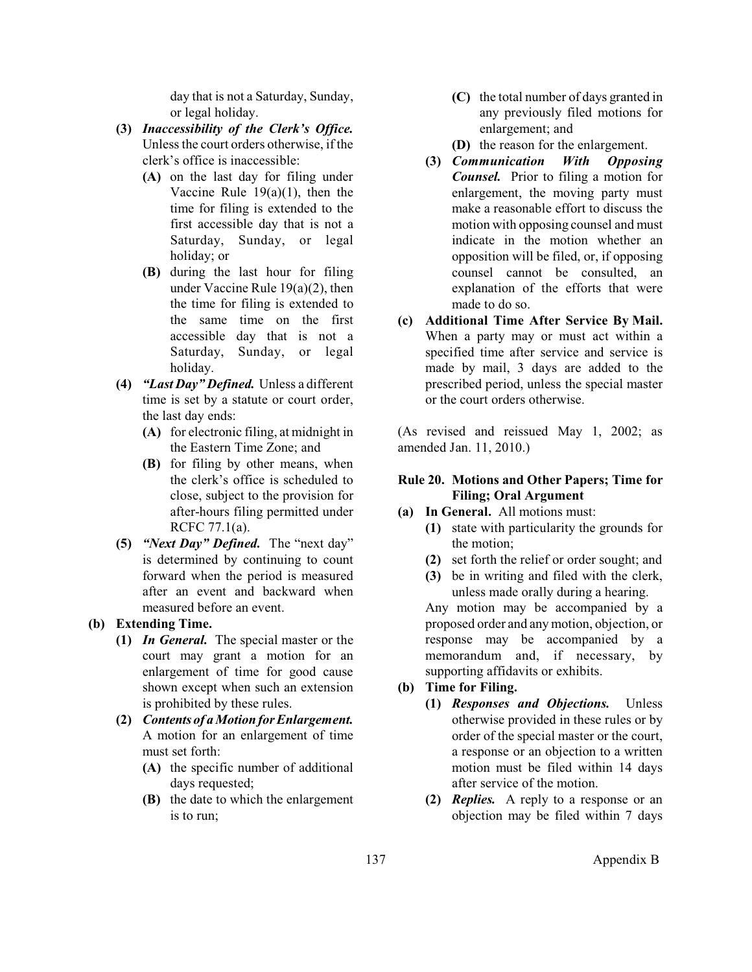day that is not a Saturday, Sunday, or legal holiday.

- <span id="page-11-0"></span>**(3)** *Inaccessibility of the Clerk's Office.*  Unless the court orders otherwise, if the clerk's office is inaccessible:
	- **(A)** on the last day for filing under Vaccine Rule  $19(a)(1)$ , then the time for filing is extended to the first accessible day that is not a Saturday, Sunday, or legal holiday; or
	- **(B)** during the last hour for filing under Vaccine Rule 19(a)(2), then the time for filing is extended to the same time on the first accessible day that is not a Saturday, Sunday, or legal holiday.
- **(4)** *"Last Day" Defined.* Unless a different time is set by a statute or court order, the last day ends:
	- **(A)** for electronic filing, at midnight in the Eastern Time Zone; and
	- **(B)** for filing by other means, when the clerk's office is scheduled to close, subject to the provision for after-hours filing permitted under RCFC 77.1(a).
- **(5)** *"Next Day" Defined.* The "next day" is determined by continuing to count forward when the period is measured after an event and backward when measured before an event.

## **(b) Extending Time.**

- **(1)** *In General.* The special master or the court may grant a motion for an enlargement of time for good cause shown except when such an extension is prohibited by these rules.
- **(2)** *Contents of a Motion for Enlargement.* A motion for an enlargement of time must set forth:
	- **(A)** the specific number of additional days requested;
	- **(B)** the date to which the enlargement is to run;
- **(C)** the total number of days granted in any previously filed motions for enlargement; and
- **(D)** the reason for the enlargement.
- **(3)** *Communication With Opposing Counsel.* Prior to filing a motion for enlargement, the moving party must make a reasonable effort to discuss the motion with opposing counsel and must indicate in the motion whether an opposition will be filed, or, if opposing counsel cannot be consulted, an explanation of the efforts that were made to do so.
- **(c) Additional Time After Service By Mail.** When a party may or must act within a specified time after service and service is made by mail, 3 days are added to the prescribed period, unless the special master or the court orders otherwise.

(As revised and reissued May 1, 2002; as amended Jan. 11, 2010.)

## **Rule 20. Motions and Other Papers; Time for Filing; Oral Argument**

### **(a) In General.** All motions must:

- **(1)** state with particularity the grounds for the motion;
- **(2)** set forth the relief or order sought; and
- **(3)** be in writing and filed with the clerk, unless made orally during a hearing.

Any motion may be accompanied by a proposed order and any motion, objection, or response may be accompanied by a memorandum and, if necessary, by supporting affidavits or exhibits.

# **(b) Time for Filing.**

- **(1)** *Responses and Objections.* Unless otherwise provided in these rules or by order of the special master or the court, a response or an objection to a written motion must be filed within 14 days after service of the motion.
- **(2)** *Replies.* A reply to a response or an objection may be filed within 7 days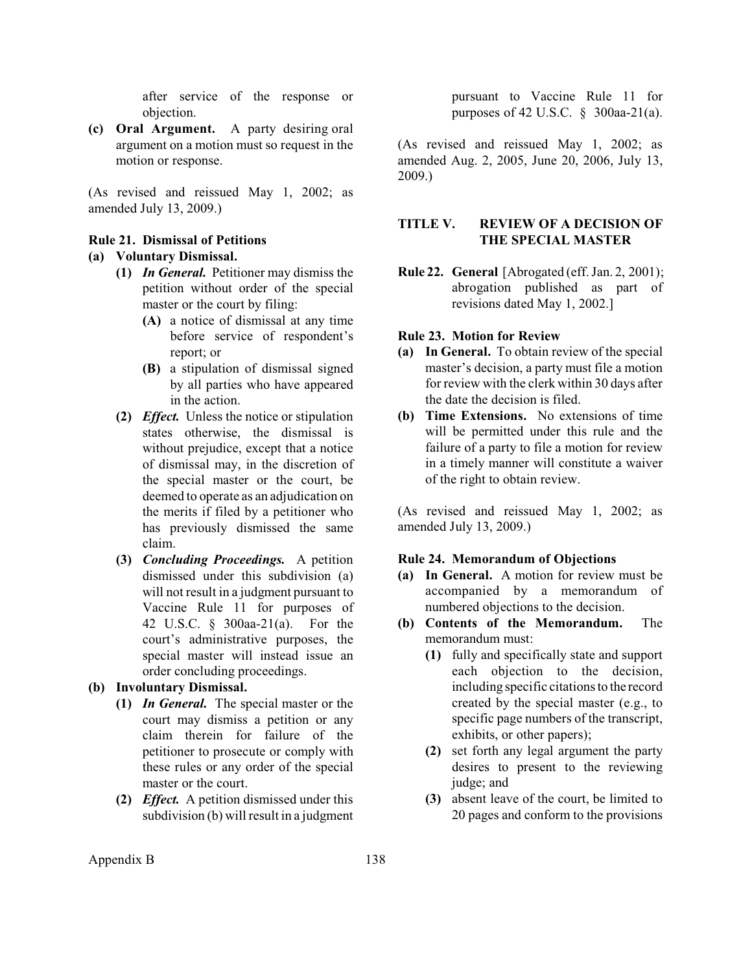after service of the response or objection.

<span id="page-12-0"></span>**(c) Oral Argument.** A party desiring oral argument on a motion must so request in the motion or response.

(As revised and reissued May 1, 2002; as amended July 13, 2009.)

#### **Rule 21. Dismissal of Petitions**

# **(a) Voluntary Dismissal.**

- **(1)** *In General.* Petitioner may dismiss the petition without order of the special master or the court by filing:
	- **(A)** a notice of dismissal at any time before service of respondent's report; or
	- **(B)** a stipulation of dismissal signed by all parties who have appeared in the action.
- **(2)** *Effect.* Unless the notice or stipulation states otherwise, the dismissal is without prejudice, except that a notice of dismissal may, in the discretion of the special master or the court, be deemed to operate as an adjudication on the merits if filed by a petitioner who has previously dismissed the same claim.
- **(3)** *Concluding Proceedings.* A petition dismissed under this subdivision (a) will not result in a judgment pursuant to Vaccine Rule 11 for purposes of 42 U.S.C. § 300aa-21(a). For the court's administrative purposes, the special master will instead issue an order concluding proceedings.

# **(b) Involuntary Dismissal.**

- **(1)** *In General.* The special master or the court may dismiss a petition or any claim therein for failure of the petitioner to prosecute or comply with these rules or any order of the special master or the court.
- **(2)** *Effect.* A petition dismissed under this subdivision (b) will result in a judgment

pursuant to Vaccine Rule 11 for purposes of 42 U.S.C. § 300aa-21(a).

(As revised and reissued May 1, 2002; as amended Aug. 2, 2005, June 20, 2006, July 13, 2009.)

## **TITLE V. REVIEW OF A DECISION OF THE SPECIAL MASTER**

**Rule 22. General** [Abrogated (eff. Jan. 2, 2001); abrogation published as part of revisions dated May 1, 2002.]

#### **Rule 23. Motion for Review**

- **(a) In General.** To obtain review of the special master's decision, a party must file a motion for review with the clerk within 30 days after the date the decision is filed.
- **(b) Time Extensions.** No extensions of time will be permitted under this rule and the failure of a party to file a motion for review in a timely manner will constitute a waiver of the right to obtain review.

(As revised and reissued May 1, 2002; as amended July 13, 2009.)

#### **Rule 24. Memorandum of Objections**

- **(a) In General.** A motion for review must be accompanied by a memorandum of numbered objections to the decision.
- **(b) Contents of the Memorandum.** The memorandum must:
	- **(1)** fully and specifically state and support each objection to the decision, including specific citations to the record created by the special master (e.g., to specific page numbers of the transcript, exhibits, or other papers);
	- **(2)** set forth any legal argument the party desires to present to the reviewing judge; and
	- **(3)** absent leave of the court, be limited to 20 pages and conform to the provisions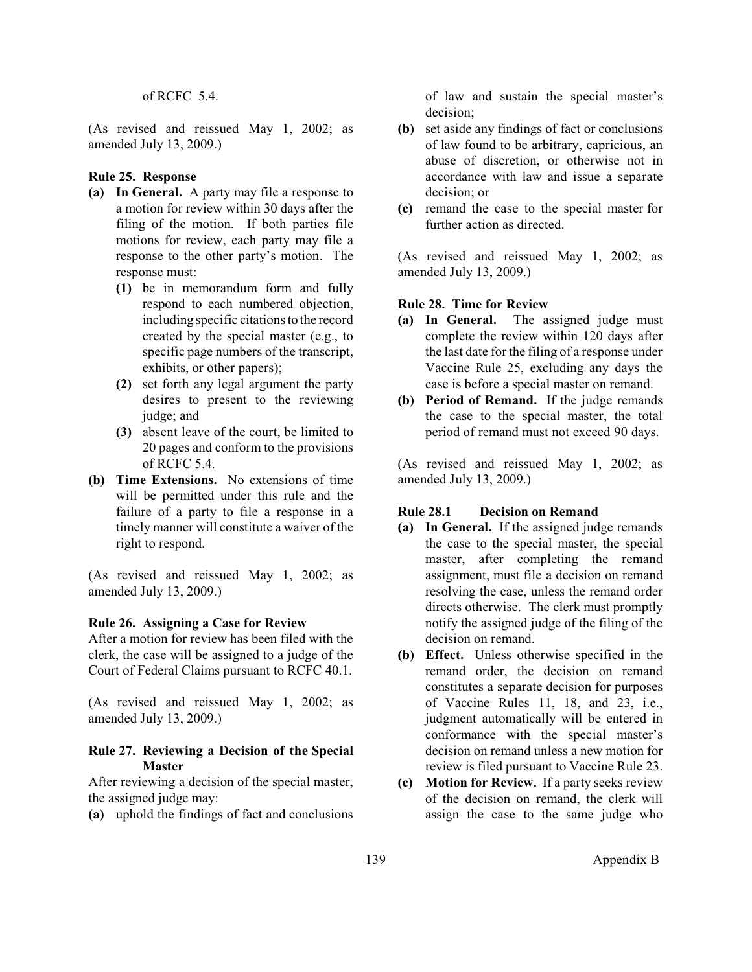#### of RCFC 5.4.

<span id="page-13-0"></span>(As revised and reissued May 1, 2002; as amended July 13, 2009.)

### **Rule 25. Response**

- **(a) In General.** A party may file a response to a motion for review within 30 days after the filing of the motion. If both parties file motions for review, each party may file a response to the other party's motion. The response must:
	- **(1)** be in memorandum form and fully respond to each numbered objection, including specific citations to the record created by the special master (e.g., to specific page numbers of the transcript, exhibits, or other papers);
	- **(2)** set forth any legal argument the party desires to present to the reviewing judge; and
	- **(3)** absent leave of the court, be limited to 20 pages and conform to the provisions of RCFC  $5.4$
- **(b) Time Extensions.** No extensions of time will be permitted under this rule and the failure of a party to file a response in a timely manner will constitute a waiver of the right to respond.

(As revised and reissued May 1, 2002; as amended July 13, 2009.)

### **Rule 26. Assigning a Case for Review**

After a motion for review has been filed with the clerk, the case will be assigned to a judge of the Court of Federal Claims pursuant to RCFC 40.1.

(As revised and reissued May 1, 2002; as amended July 13, 2009.)

## **Rule 27. Reviewing a Decision of the Special Master**

After reviewing a decision of the special master, the assigned judge may:

**(a)** uphold the findings of fact and conclusions

of law and sustain the special master's decision;

- **(b)** set aside any findings of fact or conclusions of law found to be arbitrary, capricious, an abuse of discretion, or otherwise not in accordance with law and issue a separate decision; or
- **(c)** remand the case to the special master for further action as directed.

(As revised and reissued May 1, 2002; as amended July 13, 2009.)

## **Rule 28. Time for Review**

- **(a) In General.** The assigned judge must complete the review within 120 days after the last date for the filing of a response under Vaccine Rule 25, excluding any days the case is before a special master on remand.
- **(b) Period of Remand.** If the judge remands the case to the special master, the total period of remand must not exceed 90 days.

(As revised and reissued May 1, 2002; as amended July 13, 2009.)

## **Rule 28.1 Decision on Remand**

- **(a) In General.** If the assigned judge remands the case to the special master, the special master, after completing the remand assignment, must file a decision on remand resolving the case, unless the remand order directs otherwise. The clerk must promptly notify the assigned judge of the filing of the decision on remand.
- **(b) Effect.** Unless otherwise specified in the remand order, the decision on remand constitutes a separate decision for purposes of Vaccine Rules 11, 18, and 23, i.e., judgment automatically will be entered in conformance with the special master's decision on remand unless a new motion for review is filed pursuant to Vaccine Rule 23.
- **(c) Motion for Review.** If a party seeks review of the decision on remand, the clerk will assign the case to the same judge who

139 Appendix B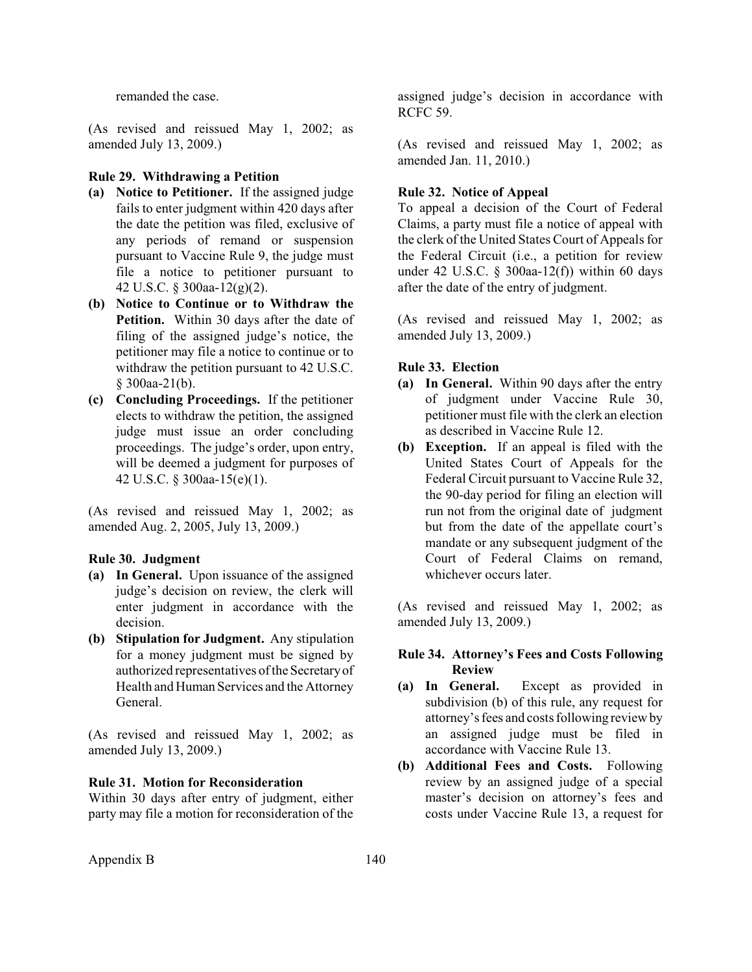<span id="page-14-0"></span>remanded the case.

(As revised and reissued May 1, 2002; as amended July 13, 2009.)

### **Rule 29. Withdrawing a Petition**

- **(a) Notice to Petitioner.** If the assigned judge fails to enter judgment within 420 days after the date the petition was filed, exclusive of any periods of remand or suspension pursuant to Vaccine Rule 9, the judge must file a notice to petitioner pursuant to 42 U.S.C. § 300aa-12(g)(2).
- **(b) Notice to Continue or to Withdraw the Petition.** Within 30 days after the date of filing of the assigned judge's notice, the petitioner may file a notice to continue or to withdraw the petition pursuant to 42 U.S.C. § 300aa-21(b).
- **(c) Concluding Proceedings.** If the petitioner elects to withdraw the petition, the assigned judge must issue an order concluding proceedings. The judge's order, upon entry, will be deemed a judgment for purposes of 42 U.S.C. § 300aa-15(e)(1).

(As revised and reissued May 1, 2002; as amended Aug. 2, 2005, July 13, 2009.)

#### **Rule 30. Judgment**

- **(a) In General.** Upon issuance of the assigned judge's decision on review, the clerk will enter judgment in accordance with the decision.
- **(b) Stipulation for Judgment.** Any stipulation for a money judgment must be signed by authorized representatives ofthe Secretaryof Health and Human Services and the Attorney General.

(As revised and reissued May 1, 2002; as amended July 13, 2009.)

## **Rule 31. Motion for Reconsideration**

Within 30 days after entry of judgment, either party may file a motion for reconsideration of the

assigned judge's decision in accordance with RCFC 59.

(As revised and reissued May 1, 2002; as amended Jan. 11, 2010.)

### **Rule 32. Notice of Appeal**

To appeal a decision of the Court of Federal Claims, a party must file a notice of appeal with the clerk of the United States Court of Appeals for the Federal Circuit (i.e., a petition for review under 42 U.S.C. § 300aa-12(f)) within 60 days after the date of the entry of judgment.

(As revised and reissued May 1, 2002; as amended July 13, 2009.)

## **Rule 33. Election**

- **(a) In General.** Within 90 days after the entry of judgment under Vaccine Rule 30, petitioner must file with the clerk an election as described in Vaccine Rule 12.
- **(b) Exception.** If an appeal is filed with the United States Court of Appeals for the Federal Circuit pursuant to Vaccine Rule 32, the 90-day period for filing an election will run not from the original date of judgment but from the date of the appellate court's mandate or any subsequent judgment of the Court of Federal Claims on remand, whichever occurs later.

(As revised and reissued May 1, 2002; as amended July 13, 2009.)

## **Rule 34. Attorney's Fees and Costs Following Review**

- **(a) In General.** Except as provided in subdivision (b) of this rule, any request for attorney's fees and costs following review by an assigned judge must be filed in accordance with Vaccine Rule 13.
- **(b) Additional Fees and Costs.** Following review by an assigned judge of a special master's decision on attorney's fees and costs under Vaccine Rule 13, a request for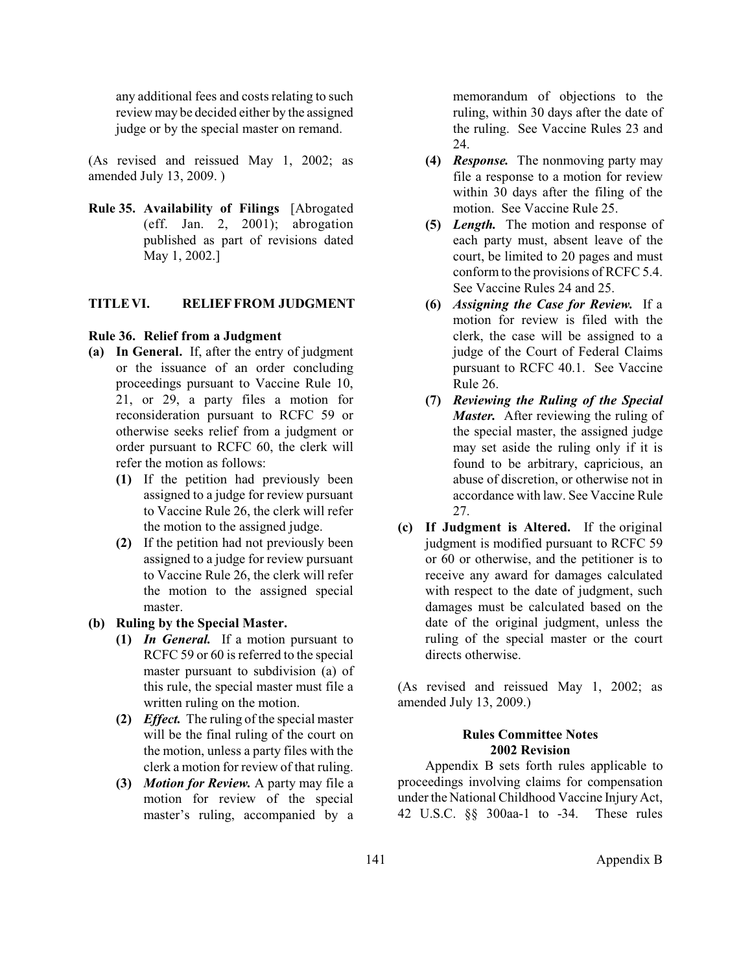<span id="page-15-0"></span>any additional fees and costs relating to such review may be decided either by the assigned judge or by the special master on remand.

(As revised and reissued May 1, 2002; as amended July 13, 2009. )

**Rule 35. Availability of Filings** [Abrogated (eff. Jan. 2, 2001); abrogation published as part of revisions dated May 1, 2002.]

### **TITLE VI. RELIEF FROM JUDGMENT**

#### **Rule 36. Relief from a Judgment**

- **(a) In General.** If, after the entry of judgment or the issuance of an order concluding proceedings pursuant to Vaccine Rule 10, 21, or 29, a party files a motion for reconsideration pursuant to RCFC 59 or otherwise seeks relief from a judgment or order pursuant to RCFC 60, the clerk will refer the motion as follows:
	- **(1)** If the petition had previously been assigned to a judge for review pursuant to Vaccine Rule 26, the clerk will refer the motion to the assigned judge.
	- **(2)** If the petition had not previously been assigned to a judge for review pursuant to Vaccine Rule 26, the clerk will refer the motion to the assigned special master.

### **(b) Ruling by the Special Master.**

- **(1)** *In General.* If a motion pursuant to RCFC 59 or 60 is referred to the special master pursuant to subdivision (a) of this rule, the special master must file a written ruling on the motion.
- **(2)** *Effect.* The ruling of the special master will be the final ruling of the court on the motion, unless a party files with the clerk a motion for review of that ruling.
- **(3)** *Motion for Review.* A party may file a motion for review of the special master's ruling, accompanied by a

memorandum of objections to the ruling, within 30 days after the date of the ruling. See Vaccine Rules 23 and 24.

- **(4)** *Response.* The nonmoving party may file a response to a motion for review within 30 days after the filing of the motion. See Vaccine Rule 25.
- **(5)** *Length.* The motion and response of each party must, absent leave of the court, be limited to 20 pages and must conform to the provisions of RCFC 5.4. See Vaccine Rules 24 and 25.
- **(6)** *Assigning the Case for Review.* If a motion for review is filed with the clerk, the case will be assigned to a judge of the Court of Federal Claims pursuant to RCFC 40.1. See Vaccine Rule 26.
- **(7)** *Reviewing the Ruling of the Special Master.* After reviewing the ruling of the special master, the assigned judge may set aside the ruling only if it is found to be arbitrary, capricious, an abuse of discretion, or otherwise not in accordance with law. See Vaccine Rule 27.
- **(c) If Judgment is Altered.** If the original judgment is modified pursuant to RCFC 59 or 60 or otherwise, and the petitioner is to receive any award for damages calculated with respect to the date of judgment, such damages must be calculated based on the date of the original judgment, unless the ruling of the special master or the court directs otherwise.

(As revised and reissued May 1, 2002; as amended July 13, 2009.)

## **Rules Committee Notes 2002 Revision**

Appendix B sets forth rules applicable to proceedings involving claims for compensation under the National Childhood Vaccine InjuryAct, 42 U.S.C. §§ 300aa-1 to -34. These rules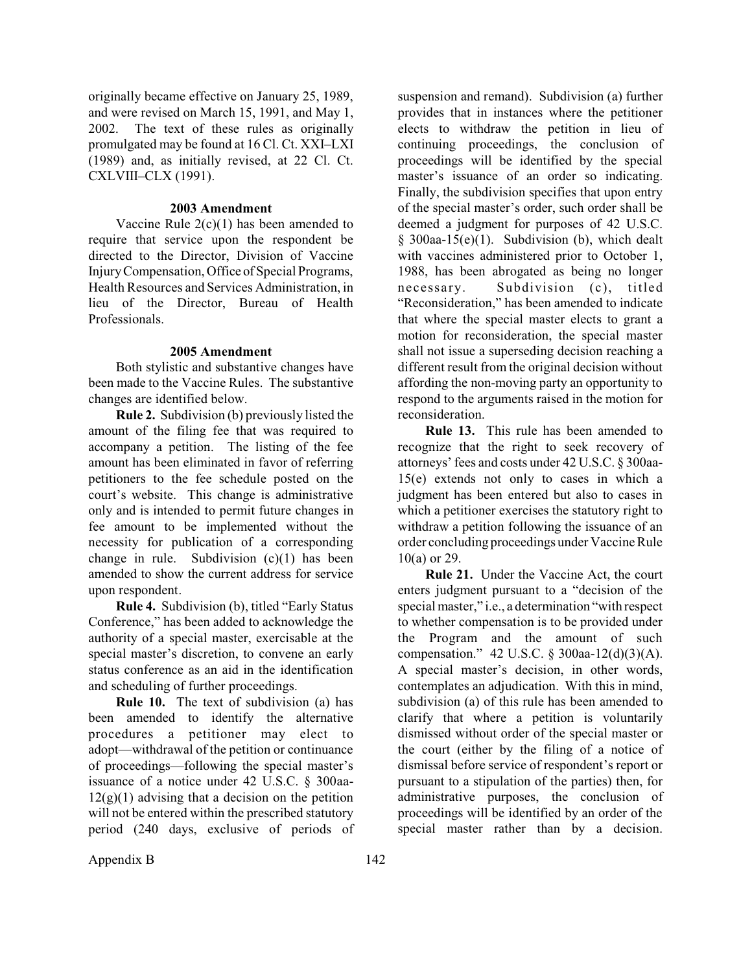originally became effective on January 25, 1989, and were revised on March 15, 1991, and May 1, 2002. The text of these rules as originally promulgated may be found at 16 Cl. Ct. XXI–LXI (1989) and, as initially revised, at 22 Cl. Ct. CXLVIII–CLX (1991).

#### **2003 Amendment**

Vaccine Rule  $2(c)(1)$  has been amended to require that service upon the respondent be directed to the Director, Division of Vaccine InjuryCompensation, Office of Special Programs, Health Resources and Services Administration, in lieu of the Director, Bureau of Health Professionals.

### **2005 Amendment**

Both stylistic and substantive changes have been made to the Vaccine Rules. The substantive changes are identified below.

**Rule 2.** Subdivision (b) previously listed the amount of the filing fee that was required to accompany a petition. The listing of the fee amount has been eliminated in favor of referring petitioners to the fee schedule posted on the court's website. This change is administrative only and is intended to permit future changes in fee amount to be implemented without the necessity for publication of a corresponding change in rule. Subdivision (c)(1) has been amended to show the current address for service upon respondent.

**Rule 4.** Subdivision (b), titled "Early Status Conference," has been added to acknowledge the authority of a special master, exercisable at the special master's discretion, to convene an early status conference as an aid in the identification and scheduling of further proceedings.

**Rule 10.** The text of subdivision (a) has been amended to identify the alternative procedures a petitioner may elect to adopt—withdrawal of the petition or continuance of proceedings—following the special master's issuance of a notice under 42 U.S.C. § 300aa- $12(g)(1)$  advising that a decision on the petition will not be entered within the prescribed statutory period (240 days, exclusive of periods of suspension and remand). Subdivision (a) further provides that in instances where the petitioner elects to withdraw the petition in lieu of continuing proceedings, the conclusion of proceedings will be identified by the special master's issuance of an order so indicating. Finally, the subdivision specifies that upon entry of the special master's order, such order shall be deemed a judgment for purposes of 42 U.S.C. § 300aa-15(e)(1). Subdivision (b), which dealt with vaccines administered prior to October 1, 1988, has been abrogated as being no longer necessary. Subdivision (c), titled "Reconsideration," has been amended to indicate that where the special master elects to grant a motion for reconsideration, the special master shall not issue a superseding decision reaching a different result from the original decision without affording the non-moving party an opportunity to respond to the arguments raised in the motion for reconsideration.

**Rule 13.** This rule has been amended to recognize that the right to seek recovery of attorneys' fees and costs under 42 U.S.C. § 300aa-15(e) extends not only to cases in which a judgment has been entered but also to cases in which a petitioner exercises the statutory right to withdraw a petition following the issuance of an order concluding proceedings under Vaccine Rule 10(a) or 29.

**Rule 21.** Under the Vaccine Act, the court enters judgment pursuant to a "decision of the special master," i.e., a determination "with respect to whether compensation is to be provided under the Program and the amount of such compensation." 42 U.S.C. § 300aa-12(d)(3)(A). A special master's decision, in other words, contemplates an adjudication. With this in mind, subdivision (a) of this rule has been amended to clarify that where a petition is voluntarily dismissed without order of the special master or the court (either by the filing of a notice of dismissal before service of respondent's report or pursuant to a stipulation of the parties) then, for administrative purposes, the conclusion of proceedings will be identified by an order of the special master rather than by a decision.

Appendix B 142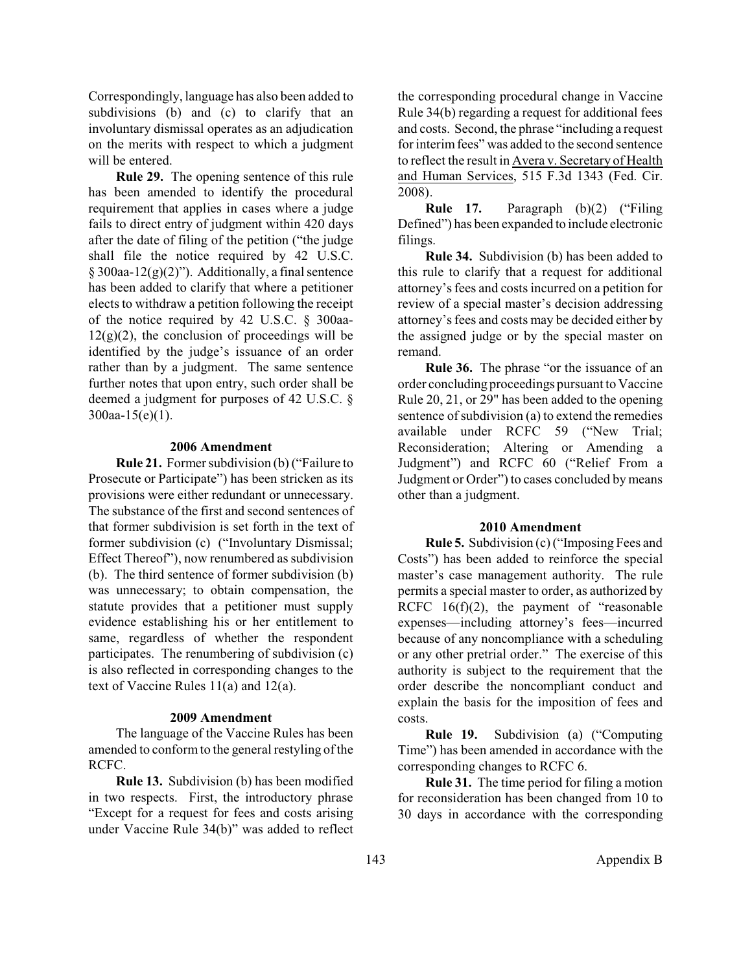Correspondingly, language has also been added to subdivisions (b) and (c) to clarify that an involuntary dismissal operates as an adjudication on the merits with respect to which a judgment will be entered.

**Rule 29.** The opening sentence of this rule has been amended to identify the procedural requirement that applies in cases where a judge fails to direct entry of judgment within 420 days after the date of filing of the petition ("the judge shall file the notice required by 42 U.S.C.  $§$  300aa-12(g)(2)"). Additionally, a final sentence has been added to clarify that where a petitioner elects to withdraw a petition following the receipt of the notice required by 42 U.S.C. § 300aa- $12(g)(2)$ , the conclusion of proceedings will be identified by the judge's issuance of an order rather than by a judgment. The same sentence further notes that upon entry, such order shall be deemed a judgment for purposes of 42 U.S.C. § 300aa-15(e)(1).

#### **2006 Amendment**

**Rule 21.** Former subdivision (b) ("Failure to Prosecute or Participate") has been stricken as its provisions were either redundant or unnecessary. The substance of the first and second sentences of that former subdivision is set forth in the text of former subdivision (c) ("Involuntary Dismissal; Effect Thereof"), now renumbered as subdivision (b). The third sentence of former subdivision (b) was unnecessary; to obtain compensation, the statute provides that a petitioner must supply evidence establishing his or her entitlement to same, regardless of whether the respondent participates. The renumbering of subdivision (c) is also reflected in corresponding changes to the text of Vaccine Rules 11(a) and 12(a).

#### **2009 Amendment**

The language of the Vaccine Rules has been amended to conform to the general restyling of the RCFC.

**Rule 13.** Subdivision (b) has been modified in two respects. First, the introductory phrase "Except for a request for fees and costs arising under Vaccine Rule 34(b)" was added to reflect the corresponding procedural change in Vaccine Rule 34(b) regarding a request for additional fees and costs. Second, the phrase "including a request for interim fees" was added to the second sentence to reflect the result in Avera v. Secretary of Health and Human Services, 515 F.3d 1343 (Fed. Cir. 2008).

**Rule 17.** Paragraph (b)(2) ("Filing Defined") has been expanded to include electronic filings.

**Rule 34.** Subdivision (b) has been added to this rule to clarify that a request for additional attorney's fees and costs incurred on a petition for review of a special master's decision addressing attorney's fees and costs may be decided either by the assigned judge or by the special master on remand.

**Rule 36.** The phrase "or the issuance of an order concluding proceedings pursuant to Vaccine Rule 20, 21, or 29" has been added to the opening sentence of subdivision (a) to extend the remedies available under RCFC 59 ("New Trial; Reconsideration; Altering or Amending a Judgment") and RCFC 60 ("Relief From a Judgment or Order") to cases concluded by means other than a judgment.

#### **2010 Amendment**

**Rule 5.** Subdivision (c)("Imposing Fees and Costs") has been added to reinforce the special master's case management authority. The rule permits a special master to order, as authorized by RCFC 16(f)(2), the payment of "reasonable expenses—including attorney's fees—incurred because of any noncompliance with a scheduling or any other pretrial order." The exercise of this authority is subject to the requirement that the order describe the noncompliant conduct and explain the basis for the imposition of fees and costs.

**Rule 19.** Subdivision (a) ("Computing Time") has been amended in accordance with the corresponding changes to RCFC 6.

**Rule 31.** The time period for filing a motion for reconsideration has been changed from 10 to 30 days in accordance with the corresponding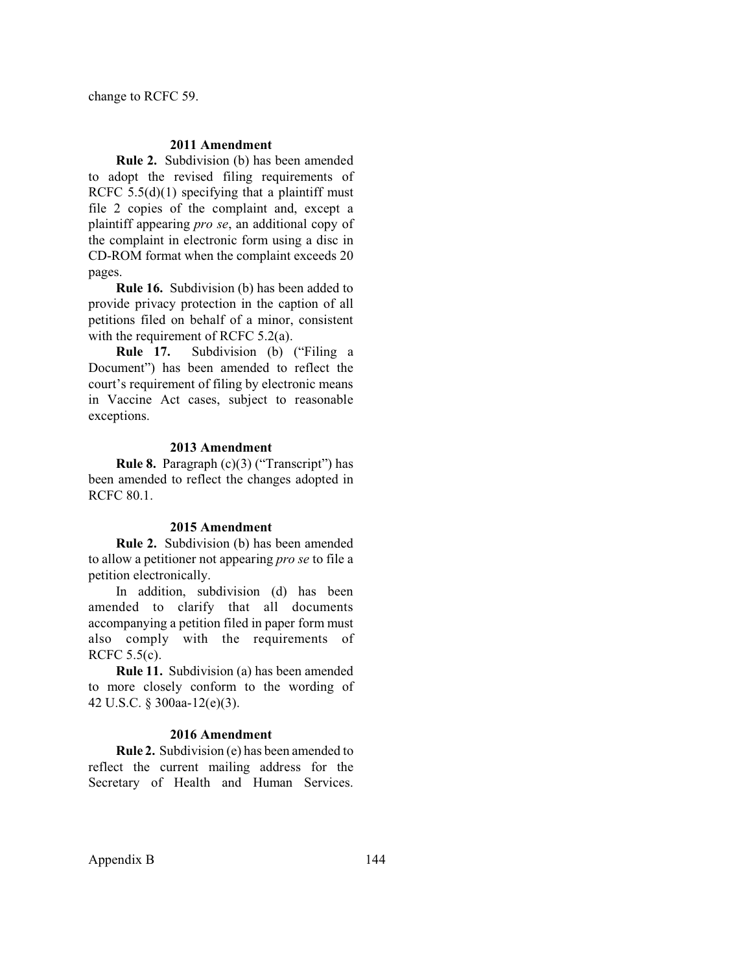change to RCFC 59.

## **2011 Amendment**

**Rule 2.** Subdivision (b) has been amended to adopt the revised filing requirements of RCFC  $5.5(d)(1)$  specifying that a plaintiff must file 2 copies of the complaint and, except a plaintiff appearing *pro se*, an additional copy of the complaint in electronic form using a disc in CD-ROM format when the complaint exceeds 20 pages.

**Rule 16.** Subdivision (b) has been added to provide privacy protection in the caption of all petitions filed on behalf of a minor, consistent with the requirement of RCFC 5.2(a).

**Rule 17.** Subdivision (b) ("Filing a Document") has been amended to reflect the court's requirement of filing by electronic means in Vaccine Act cases, subject to reasonable exceptions.

#### **2013 Amendment**

**Rule 8.** Paragraph (c)(3) ("Transcript") has been amended to reflect the changes adopted in RCFC 80.1.

### **2015 Amendment**

**Rule 2.** Subdivision (b) has been amended to allow a petitioner not appearing *pro se* to file a petition electronically.

In addition, subdivision (d) has been amended to clarify that all documents accompanying a petition filed in paper form must also comply with the requirements of RCFC 5.5(c).

**Rule 11.** Subdivision (a) has been amended to more closely conform to the wording of 42 U.S.C. § 300aa-12(e)(3).

#### **2016 Amendment**

**Rule 2.** Subdivision (e) has been amended to reflect the current mailing address for the Secretary of Health and Human Services.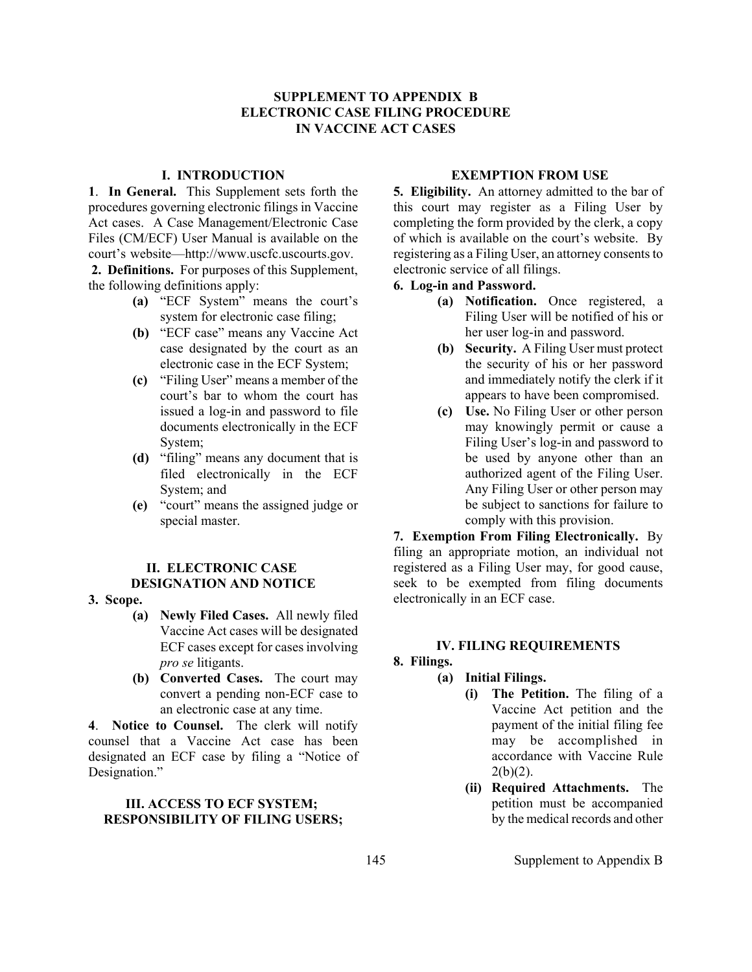## **SUPPLEMENT TO APPENDIX B ELECTRONIC CASE FILING PROCEDURE IN VACCINE ACT CASES**

## **I. INTRODUCTION**

<span id="page-19-0"></span>**1**. **In General.** This Supplement sets forth the procedures governing electronic filings in Vaccine Act cases. A Case Management/Electronic Case Files (CM/ECF) User Manual is available on the court's website—http://www.uscfc.uscourts.gov.

**2. Definitions.** For purposes of this Supplement, the following definitions apply:

- **(a)** "ECF System" means the court's system for electronic case filing;
- **(b)** "ECF case" means any Vaccine Act case designated by the court as an electronic case in the ECF System;
- **(c)** "Filing User" means a member of the court's bar to whom the court has issued a log-in and password to file documents electronically in the ECF System;
- **(d)** "filing" means any document that is filed electronically in the ECF System; and
- **(e)** "court" means the assigned judge or special master.

### **II. ELECTRONIC CASE DESIGNATION AND NOTICE**

- **3. Scope.**
	- **(a) Newly Filed Cases.** All newly filed Vaccine Act cases will be designated ECF cases except for cases involving *pro se* litigants.
	- **(b) Converted Cases.** The court may convert a pending non-ECF case to an electronic case at any time.

**4**. **Notice to Counsel.** The clerk will notify counsel that a Vaccine Act case has been designated an ECF case by filing a "Notice of Designation."

## **III. ACCESS TO ECF SYSTEM; RESPONSIBILITY OF FILING USERS;**

## **EXEMPTION FROM USE**

**5. Eligibility.** An attorney admitted to the bar of this court may register as a Filing User by completing the form provided by the clerk, a copy of which is available on the court's website. By registering as a Filing User, an attorney consents to electronic service of all filings.

## **6. Log-in and Password.**

- **(a) Notification.** Once registered, a Filing User will be notified of his or her user log-in and password.
- **(b) Security.** A Filing User must protect the security of his or her password and immediately notify the clerk if it appears to have been compromised.
- **(c) Use.** No Filing User or other person may knowingly permit or cause a Filing User's log-in and password to be used by anyone other than an authorized agent of the Filing User. Any Filing User or other person may be subject to sanctions for failure to comply with this provision.

**7. Exemption From Filing Electronically.** By filing an appropriate motion, an individual not registered as a Filing User may, for good cause, seek to be exempted from filing documents electronically in an ECF case.

### **IV. FILING REQUIREMENTS**

### **8. Filings.**

- **(a) Initial Filings.**
	- **(i) The Petition.** The filing of a Vaccine Act petition and the payment of the initial filing fee may be accomplished in accordance with Vaccine Rule  $2(b)(2)$ .
	- **(ii) Required Attachments.** The petition must be accompanied by the medical records and other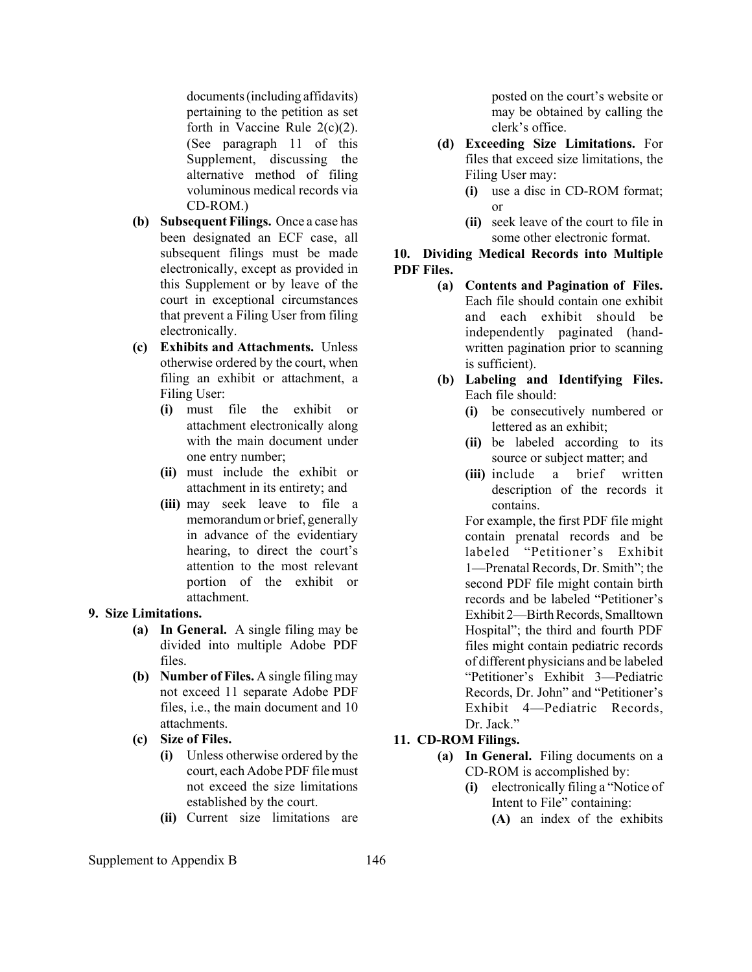documents (including affidavits) pertaining to the petition as set forth in Vaccine Rule  $2(c)(2)$ . (See paragraph 11 of this Supplement, discussing the alternative method of filing voluminous medical records via CD-ROM.)

- **(b) Subsequent Filings.** Once a case has been designated an ECF case, all subsequent filings must be made electronically, except as provided in this Supplement or by leave of the court in exceptional circumstances that prevent a Filing User from filing electronically.
- **(c) Exhibits and Attachments.** Unless otherwise ordered by the court, when filing an exhibit or attachment, a Filing User:
	- **(i)** must file the exhibit or attachment electronically along with the main document under one entry number;
	- **(ii)** must include the exhibit or attachment in its entirety; and
	- **(iii)** may seek leave to file a memorandum or brief, generally in advance of the evidentiary hearing, to direct the court's attention to the most relevant portion of the exhibit or attachment.

### **9. Size Limitations.**

- **(a) In General.** A single filing may be divided into multiple Adobe PDF files.
- **(b) Number of Files.** A single filing may not exceed 11 separate Adobe PDF files, i.e., the main document and 10 attachments.
- **(c) Size of Files.**
	- **(i)** Unless otherwise ordered by the court, each Adobe PDF file must not exceed the size limitations established by the court.
	- **(ii)** Current size limitations are

posted on the court's website or may be obtained by calling the clerk's office.

- **(d) Exceeding Size Limitations.** For files that exceed size limitations, the Filing User may:
	- **(i)** use a disc in CD-ROM format; or
	- **(ii)** seek leave of the court to file in some other electronic format.

## **10. Dividing Medical Records into Multiple PDF Files.**

- **(a) Contents and Pagination of Files.** Each file should contain one exhibit and each exhibit should be independently paginated (handwritten pagination prior to scanning is sufficient).
- **(b) Labeling and Identifying Files.** Each file should:
	- **(i)** be consecutively numbered or lettered as an exhibit;
	- **(ii)** be labeled according to its source or subject matter; and
	- **(iii)** include a brief written description of the records it contains.

For example, the first PDF file might contain prenatal records and be labeled "Petitioner's Exhibit 1—Prenatal Records, Dr. Smith"; the second PDF file might contain birth records and be labeled "Petitioner's Exhibit 2—Birth Records, Smalltown Hospital"; the third and fourth PDF files might contain pediatric records of different physicians and be labeled "Petitioner's Exhibit 3—Pediatric Records, Dr. John" and "Petitioner's Exhibit 4—Pediatric Records, Dr. Jack<sup>"</sup>

# **11. CD-ROM Filings.**

- **(a) In General.** Filing documents on a CD-ROM is accomplished by:
	- **(i)** electronically filing a "Notice of Intent to File" containing:
		- **(A)** an index of the exhibits

Supplement to Appendix B 146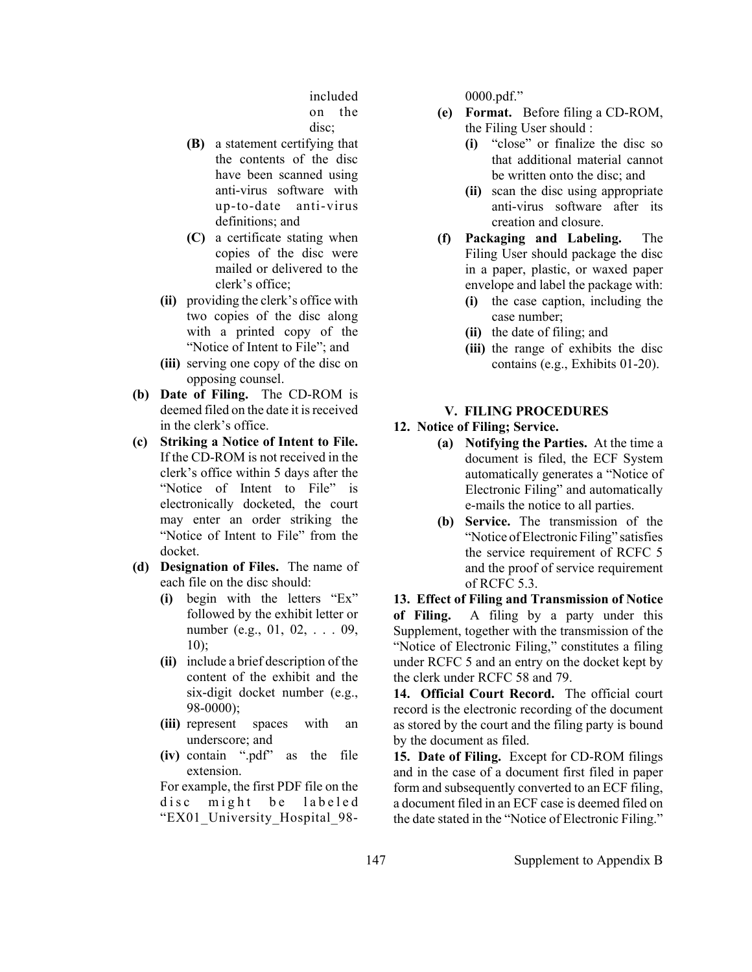included on the disc;

- **(B)** a statement certifying that the contents of the disc have been scanned using anti-virus software with up-to-date anti-virus definitions; and
- **(C)** a certificate stating when copies of the disc were mailed or delivered to the clerk's office;
- **(ii)** providing the clerk's office with two copies of the disc along with a printed copy of the "Notice of Intent to File"; and
- **(iii)** serving one copy of the disc on opposing counsel.
- **(b) Date of Filing.** The CD-ROM is deemed filed on the date it is received in the clerk's office.
- **(c) Striking a Notice of Intent to File.** If the CD-ROM is not received in the clerk's office within 5 days after the "Notice of Intent to File" is electronically docketed, the court may enter an order striking the "Notice of Intent to File" from the docket.
- **(d) Designation of Files.** The name of each file on the disc should:
	- **(i)** begin with the letters "Ex" followed by the exhibit letter or number (e.g., 01, 02, . . . 09, 10);
	- **(ii)** include a brief description of the content of the exhibit and the six-digit docket number (e.g., 98-0000);
	- **(iii)** represent spaces with an underscore; and
	- **(iv)** contain ".pdf" as the file extension.

For example, the first PDF file on the disc might be labeled "EX01\_University\_Hospital\_980000.pdf."

- **(e) Format.** Before filing a CD-ROM, the Filing User should :
	- **(i)** "close" or finalize the disc so that additional material cannot be written onto the disc; and
	- **(ii)** scan the disc using appropriate anti-virus software after its creation and closure.
- **(f) Packaging and Labeling.** The Filing User should package the disc in a paper, plastic, or waxed paper envelope and label the package with:
	- **(i)** the case caption, including the case number;
	- **(ii)** the date of filing; and
	- **(iii)** the range of exhibits the disc contains (e.g., Exhibits 01-20).

# **V. FILING PROCEDURES**

# **12. Notice of Filing; Service.**

- **(a) Notifying the Parties.** At the time a document is filed, the ECF System automatically generates a "Notice of Electronic Filing" and automatically e-mails the notice to all parties.
- **(b) Service.** The transmission of the "Notice of Electronic Filing" satisfies the service requirement of RCFC 5 and the proof of service requirement of RCFC 5.3.

**13. Effect of Filing and Transmission of Notice of Filing.** A filing by a party under this Supplement, together with the transmission of the "Notice of Electronic Filing," constitutes a filing under RCFC 5 and an entry on the docket kept by the clerk under RCFC 58 and 79.

**14. Official Court Record.** The official court record is the electronic recording of the document as stored by the court and the filing party is bound by the document as filed.

**15. Date of Filing.** Except for CD-ROM filings and in the case of a document first filed in paper form and subsequently converted to an ECF filing, a document filed in an ECF case is deemed filed on the date stated in the "Notice of Electronic Filing."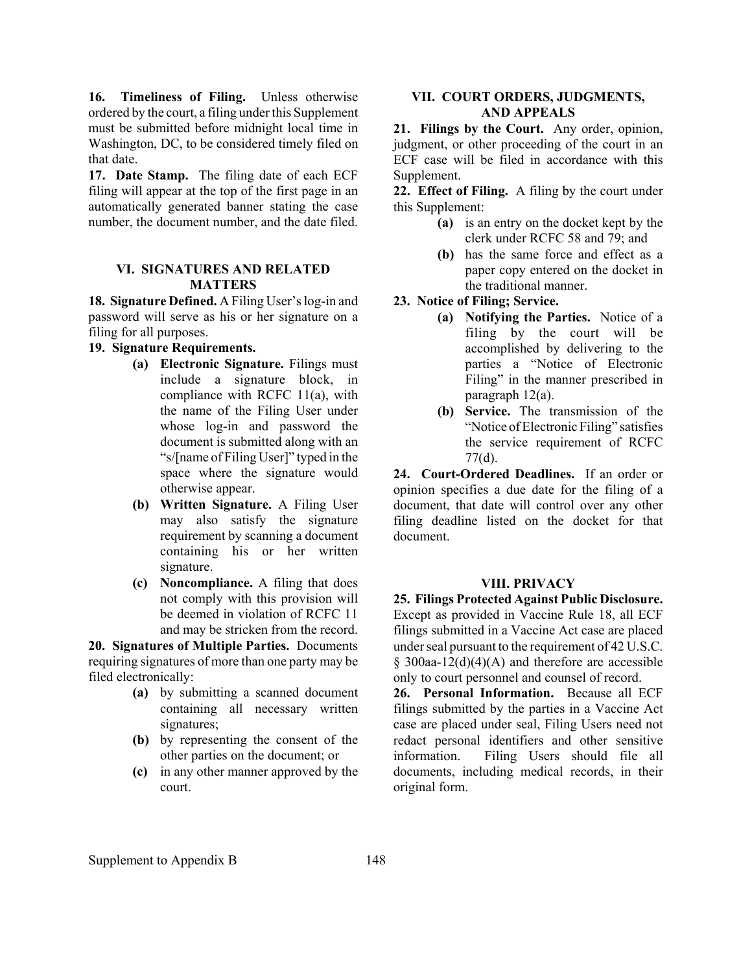16. Timeliness of Filing. Unless otherwise ordered by the court, a filing under this Supplement must be submitted before midnight local time in Washington, DC, to be considered timely filed on that date.

**17. Date Stamp.** The filing date of each ECF filing will appear at the top of the first page in an automatically generated banner stating the case number, the document number, and the date filed.

### **VI. SIGNATURES AND RELATED MATTERS**

**18. Signature Defined.** A Filing User's log-in and password will serve as his or her signature on a filing for all purposes.

## **19. Signature Requirements.**

- **(a) Electronic Signature.** Filings must include a signature block, in compliance with RCFC 11(a), with the name of the Filing User under whose log-in and password the document is submitted along with an "s/[name of Filing User]" typed in the space where the signature would otherwise appear.
- **(b) Written Signature.** A Filing User may also satisfy the signature requirement by scanning a document containing his or her written signature.
- **(c) Noncompliance.** A filing that does not comply with this provision will be deemed in violation of RCFC 11 and may be stricken from the record.

**20. Signatures of Multiple Parties.** Documents requiring signatures of more than one party may be filed electronically:

- **(a)** by submitting a scanned document containing all necessary written signatures;
- **(b)** by representing the consent of the other parties on the document; or
- **(c)** in any other manner approved by the court.

## **VII. COURT ORDERS, JUDGMENTS, AND APPEALS**

**21. Filings by the Court.** Any order, opinion, judgment, or other proceeding of the court in an ECF case will be filed in accordance with this Supplement.

**22. Effect of Filing.** A filing by the court under this Supplement:

- **(a)** is an entry on the docket kept by the clerk under RCFC 58 and 79; and
- **(b)** has the same force and effect as a paper copy entered on the docket in the traditional manner.

## **23. Notice of Filing; Service.**

- **(a) Notifying the Parties.** Notice of a filing by the court will be accomplished by delivering to the parties a "Notice of Electronic Filing" in the manner prescribed in paragraph 12(a).
- **(b) Service.** The transmission of the "Notice of Electronic Filing" satisfies the service requirement of RCFC 77(d).

**24. Court-Ordered Deadlines.** If an order or opinion specifies a due date for the filing of a document, that date will control over any other filing deadline listed on the docket for that document.

#### **VIII. PRIVACY**

**25. Filings Protected Against Public Disclosure.**  Except as provided in Vaccine Rule 18, all ECF filings submitted in a Vaccine Act case are placed under seal pursuant to the requirement of 42 U.S.C.  $§$  300aa-12(d)(4)(A) and therefore are accessible only to court personnel and counsel of record.

**26. Personal Information.** Because all ECF filings submitted by the parties in a Vaccine Act case are placed under seal, Filing Users need not redact personal identifiers and other sensitive information. Filing Users should file all documents, including medical records, in their original form.